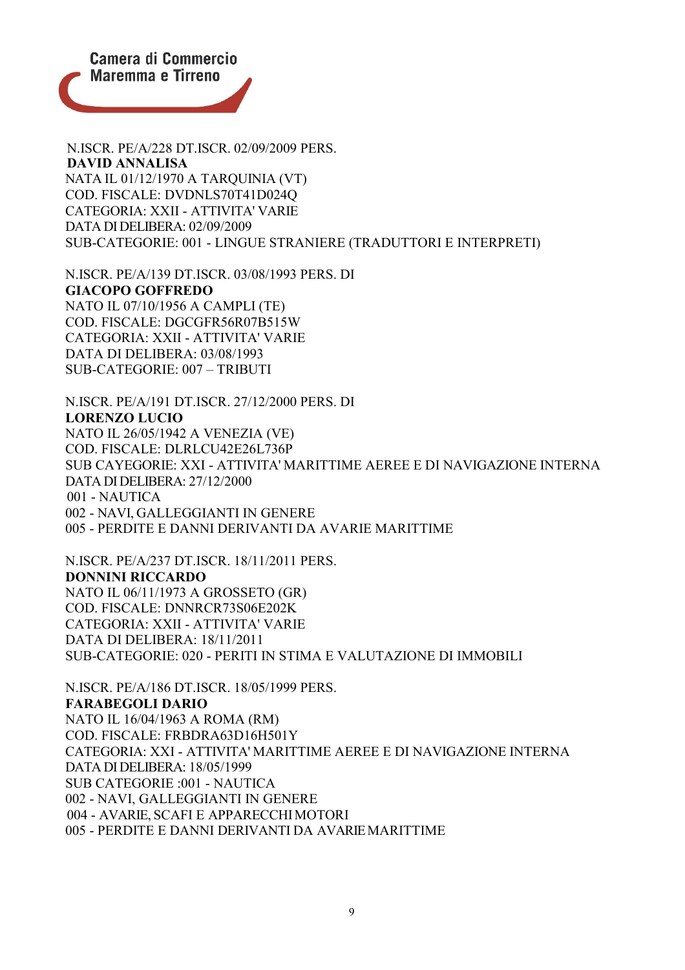

N.ISCR. PE/A/228 DT.ISCR. 02/09/2009 PERS. **DAVID ANNALISA** NATA IL 01/12/1970 A TARQUINIA (VT) COD. FISCALE: DVDNLS70T41D024Q CATEGORIA: XXII - ATTIVITA' VARIE DATA DI DELIBERA: 02/09/2009 SUB-CATEGORIE: 001 - LINGUE STRANIERE (TRADUTTORI E INTERPRETI)

N.ISCR. PE/A/139 DT.ISCR. 03/08/1993 PERS. DI **GIACOPO GOFFREDO** NATO IL 07/10/1956 A CAMPLI (TE) COD. FISCALE: DGCGFR56R07B515W CATEGORIA: XXII - ATTIVITA' VARIE DATA DI DELIBERA: 03/08/1993 SUB-CATEGORIE: 007 – TRIBUTI

N.ISCR. PE/A/191 DT.ISCR. 27/12/2000 PERS. DI **LORENZO LUCIO** NATO IL 26/05/1942 A VENEZIA (VE) COD. FISCALE: DLRLCU42E26L736P SUB CAYEGORIE: XXI - ATTIVITA' MARITTIME AEREE E DI NAVIGAZIONE INTERNA DATA DI DELIBERA: 27/12/2000 001 - NAUTICA 002 - NAVI, GALLEGGIANTI IN GENERE 005 - PERDITE E DANNI DERIVANTI DA AVARIE MARITTIME

N.ISCR. PE/A/237 DT.ISCR. 18/11/2011 PERS. **DONNINI RICCARDO** NATO IL 06/11/1973 A GROSSETO (GR) COD. FISCALE: DNNRCR73S06E202K CATEGORIA: XXII - ATTIVITA' VARIE DATA DI DELIBERA: 18/11/2011 SUB-CATEGORIE: 020 - PERITI IN STIMA E VALUTAZIONE DI IMMOBILI

N.ISCR. PE/A/186 DT.ISCR. 18/05/1999 PERS. **FARABEGOLI DARIO** NATO IL 16/04/1963 A ROMA (RM) COD. FISCALE: FRBDRA63D16H501Y CATEGORIA: XXI - ATTIVITA' MARITTIME AEREE E DI NAVIGAZIONE INTERNA DATA DI DELIBERA: 18/05/1999 SUB CATEGORIE :001 - NAUTICA 002 - NAVI, GALLEGGIANTI IN GENERE 004 - AVARIE, SCAFI E APPARECCHIMOTORI 005 - PERDITE E DANNI DERIVANTI DA AVARIEMARITTIME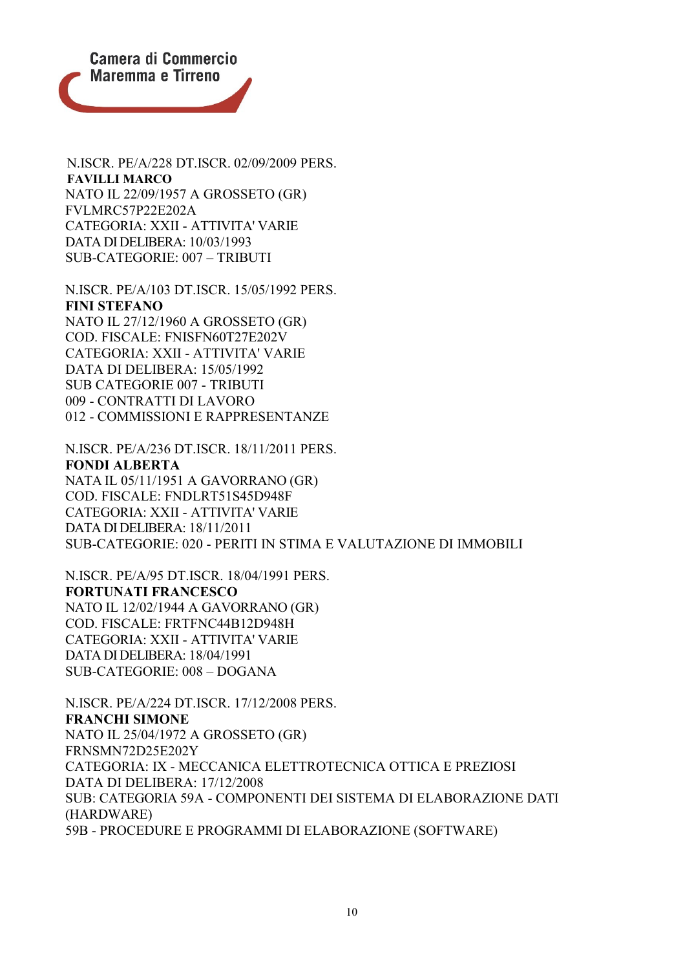

N.ISCR. PE/A/228 DT.ISCR. 02/09/2009 PERS. **FAVILLI MARCO** NATO IL 22/09/1957 A GROSSETO (GR) FVLMRC57P22E202A CATEGORIA: XXII - ATTIVITA' VARIE DATA DI DELIBERA: 10/03/1993 SUB-CATEGORIE: 007 – TRIBUTI

N.ISCR. PE/A/103 DT.ISCR. 15/05/1992 PERS. **FINI STEFANO** NATO IL 27/12/1960 A GROSSETO (GR) COD. FISCALE: FNISFN60T27E202V CATEGORIA: XXII - ATTIVITA' VARIE DATA DI DELIBERA: 15/05/1992 SUB CATEGORIE 007 - TRIBUTI 009 - CONTRATTI DI LAVORO 012 - COMMISSIONI E RAPPRESENTANZE

N.ISCR. PE/A/236 DT.ISCR. 18/11/2011 PERS. **FONDI ALBERTA** NATA IL 05/11/1951 A GAVORRANO (GR) COD. FISCALE: FNDLRT51S45D948F CATEGORIA: XXII - ATTIVITA' VARIE DATA DI DELIBERA: 18/11/2011 SUB-CATEGORIE: 020 - PERITI IN STIMA E VALUTAZIONE DI IMMOBILI

N.ISCR. PE/A/95 DT.ISCR. 18/04/1991 PERS. **FORTUNATI FRANCESCO** NATO IL 12/02/1944 A GAVORRANO (GR) COD. FISCALE: FRTFNC44B12D948H CATEGORIA: XXII - ATTIVITA' VARIE DATA DI DELIBERA: 18/04/1991 SUB-CATEGORIE: 008 – DOGANA

N.ISCR. PE/A/224 DT.ISCR. 17/12/2008 PERS. **FRANCHI SIMONE** NATO IL 25/04/1972 A GROSSETO (GR) FRNSMN72D25E202Y CATEGORIA: IX - MECCANICA ELETTROTECNICA OTTICA E PREZIOSI DATA DI DELIBERA: 17/12/2008 SUB: CATEGORIA 59A - COMPONENTI DEI SISTEMA DI ELABORAZIONE DATI (HARDWARE) 59B - PROCEDURE E PROGRAMMI DI ELABORAZIONE (SOFTWARE)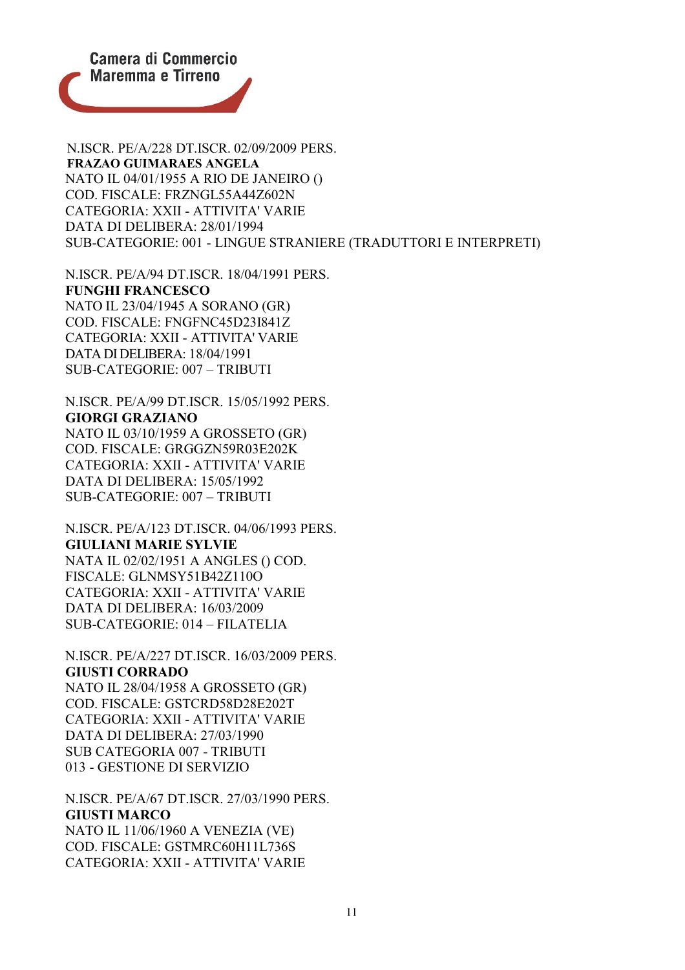

N.ISCR. PE/A/228 DT.ISCR. 02/09/2009 PERS. **FRAZAO GUIMARAES ANGELA** NATO IL 04/01/1955 A RIO DE JANEIRO () COD. FISCALE: FRZNGL55A44Z602N CATEGORIA: XXII - ATTIVITA' VARIE DATA DI DELIBERA: 28/01/1994 SUB-CATEGORIE: 001 - LINGUE STRANIERE (TRADUTTORI E INTERPRETI)

N.ISCR. PE/A/94 DT.ISCR. 18/04/1991 PERS. **FUNGHI FRANCESCO** NATO IL 23/04/1945 A SORANO (GR) COD. FISCALE: FNGFNC45D23I841Z CATEGORIA: XXII - ATTIVITA' VARIE DATA DI DELIBERA: 18/04/1991 SUB-CATEGORIE: 007 – TRIBUTI

N.ISCR. PE/A/99 DT.ISCR. 15/05/1992 PERS. **GIORGI GRAZIANO** NATO IL 03/10/1959 A GROSSETO (GR) COD. FISCALE: GRGGZN59R03E202K CATEGORIA: XXII - ATTIVITA' VARIE DATA DI DELIBERA: 15/05/1992 SUB-CATEGORIE: 007 – TRIBUTI

N.ISCR. PE/A/123 DT.ISCR. 04/06/1993 PERS. **GIULIANI MARIE SYLVIE** NATA IL 02/02/1951 A ANGLES () COD. FISCALE: GLNMSY51B42Z110O CATEGORIA: XXII - ATTIVITA' VARIE DATA DI DELIBERA: 16/03/2009 SUB-CATEGORIE: 014 – FILATELIA

N.ISCR. PE/A/227 DT.ISCR. 16/03/2009 PERS. **GIUSTI CORRADO** NATO IL 28/04/1958 A GROSSETO (GR) COD. FISCALE: GSTCRD58D28E202T

CATEGORIA: XXII - ATTIVITA' VARIE DATA DI DELIBERA: 27/03/1990 SUB CATEGORIA 007 - TRIBUTI 013 - GESTIONE DI SERVIZIO

N.ISCR. PE/A/67 DT.ISCR. 27/03/1990 PERS. **GIUSTI MARCO** NATO IL 11/06/1960 A VENEZIA (VE) COD. FISCALE: GSTMRC60H11L736S CATEGORIA: XXII - ATTIVITA' VARIE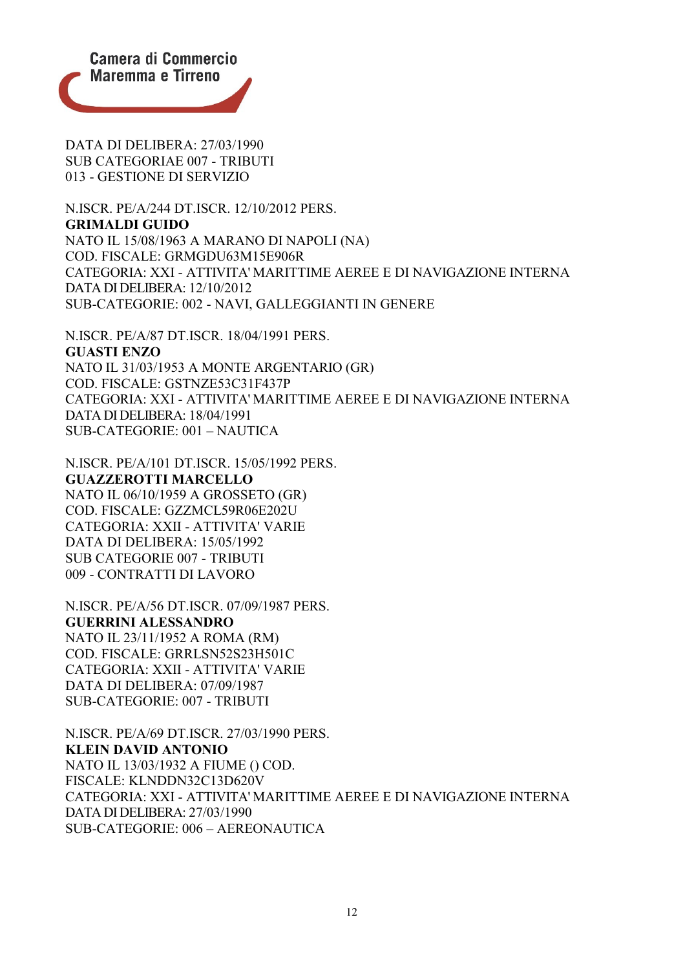

DATA DI DELIBERA: 27/03/1990 SUB CATEGORIAE 007 - TRIBUTI 013 - GESTIONE DI SERVIZIO

N.ISCR. PE/A/244 DT.ISCR. 12/10/2012 PERS. **GRIMALDI GUIDO** NATO IL 15/08/1963 A MARANO DI NAPOLI (NA) COD. FISCALE: GRMGDU63M15E906R CATEGORIA: XXI - ATTIVITA' MARITTIME AEREE E DI NAVIGAZIONE INTERNA DATA DI DELIBERA: 12/10/2012 SUB-CATEGORIE: 002 - NAVI, GALLEGGIANTI IN GENERE

N.ISCR. PE/A/87 DT.ISCR. 18/04/1991 PERS. **GUASTI ENZO** NATO IL 31/03/1953 A MONTE ARGENTARIO (GR) COD. FISCALE: GSTNZE53C31F437P CATEGORIA: XXI - ATTIVITA' MARITTIME AEREE E DI NAVIGAZIONE INTERNA DATA DI DELIBERA: 18/04/1991 SUB-CATEGORIE: 001 – NAUTICA

N.ISCR. PE/A/101 DT.ISCR. 15/05/1992 PERS. **GUAZZEROTTI MARCELLO** NATO IL 06/10/1959 A GROSSETO (GR) COD. FISCALE: GZZMCL59R06E202U CATEGORIA: XXII - ATTIVITA' VARIE DATA DI DELIBERA: 15/05/1992 SUB CATEGORIE 007 - TRIBUTI 009 - CONTRATTI DI LAVORO

N.ISCR. PE/A/56 DT.ISCR. 07/09/1987 PERS. **GUERRINI ALESSANDRO** NATO IL 23/11/1952 A ROMA (RM) COD. FISCALE: GRRLSN52S23H501C CATEGORIA: XXII - ATTIVITA' VARIE DATA DI DELIBERA: 07/09/1987 SUB-CATEGORIE: 007 - TRIBUTI

N.ISCR. PE/A/69 DT.ISCR. 27/03/1990 PERS. **KLEIN DAVID ANTONIO** NATO IL 13/03/1932 A FIUME () COD. FISCALE: KLNDDN32C13D620V CATEGORIA: XXI - ATTIVITA' MARITTIME AEREE E DI NAVIGAZIONE INTERNA DATA DI DELIBERA: 27/03/1990 SUB-CATEGORIE: 006 – AEREONAUTICA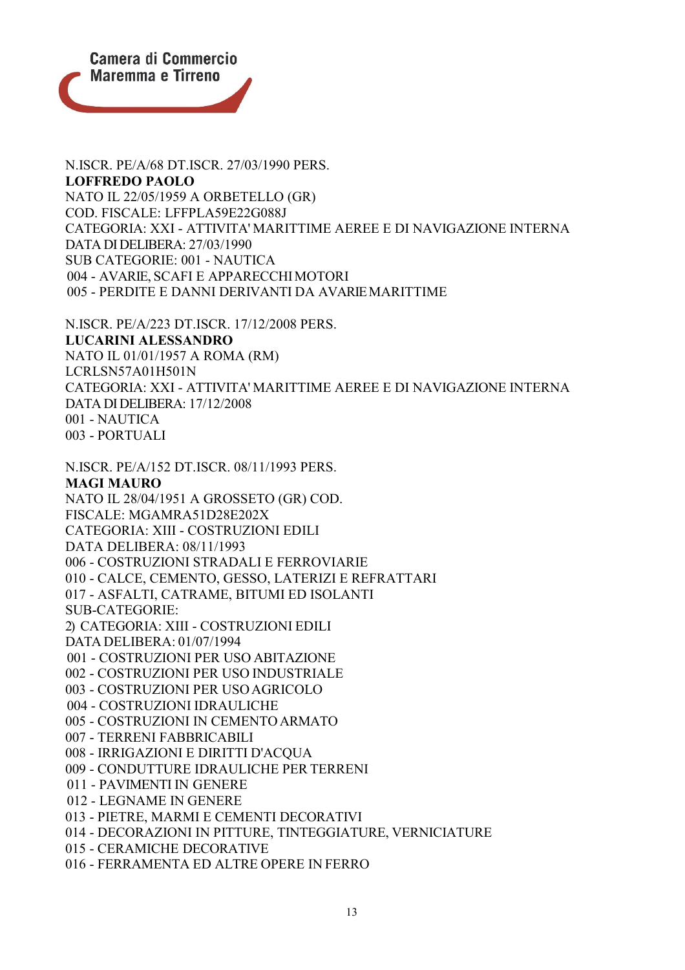

N.ISCR. PE/A/68 DT.ISCR. 27/03/1990 PERS. **LOFFREDO PAOLO** NATO IL 22/05/1959 A ORBETELLO (GR) COD. FISCALE: LFFPLA59E22G088J CATEGORIA: XXI - ATTIVITA' MARITTIME AEREE E DI NAVIGAZIONE INTERNA DATA DI DELIBERA: 27/03/1990 SUB CATEGORIE: 001 - NAUTICA 004 - AVARIE, SCAFI E APPARECCHIMOTORI 005 - PERDITE E DANNI DERIVANTI DA AVARIEMARITTIME

N.ISCR. PE/A/223 DT.ISCR. 17/12/2008 PERS. **LUCARINI ALESSANDRO** NATO IL 01/01/1957 A ROMA (RM) LCRLSN57A01H501N CATEGORIA: XXI - ATTIVITA' MARITTIME AEREE E DI NAVIGAZIONE INTERNA DATA DI DELIBERA: 17/12/2008 001 - NAUTICA 003 - PORTUALI

N.ISCR. PE/A/152 DT.ISCR. 08/11/1993 PERS. **MAGI MAURO** NATO IL 28/04/1951 A GROSSETO (GR) COD. FISCALE: MGAMRA51D28E202X CATEGORIA: XIII - COSTRUZIONI EDILI DATA DELIBERA: 08/11/1993 006 - COSTRUZIONI STRADALI E FERROVIARIE 010 - CALCE, CEMENTO, GESSO, LATERIZI E REFRATTARI 017 - ASFALTI, CATRAME, BITUMI ED ISOLANTI SUB-CATEGORIE: 2) CATEGORIA: XIII - COSTRUZIONI EDILI DATA DELIBERA: 01/07/1994 001 - COSTRUZIONI PER USO ABITAZIONE 002 - COSTRUZIONI PER USO INDUSTRIALE 003 - COSTRUZIONI PER USOAGRICOLO 004 - COSTRUZIONI IDRAULICHE 005 - COSTRUZIONI IN CEMENTO ARMATO 007 - TERRENI FABBRICABILI 008 - IRRIGAZIONI E DIRITTI D'ACQUA 009 - CONDUTTURE IDRAULICHE PER TERRENI 011 - PAVIMENTI IN GENERE 012 - LEGNAME IN GENERE 013 - PIETRE, MARMI E CEMENTI DECORATIVI 014 - DECORAZIONI IN PITTURE, TINTEGGIATURE, VERNICIATURE 015 - CERAMICHE DECORATIVE 016 - FERRAMENTA ED ALTRE OPERE IN FERRO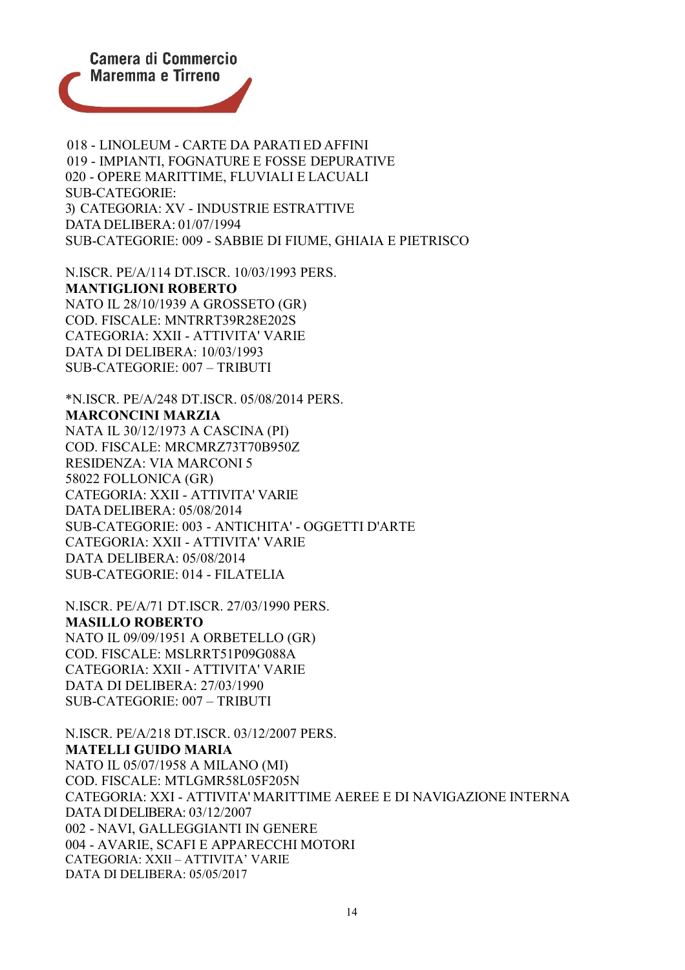

018 - LINOLEUM - CARTE DA PARATI ED AFFINI 019 - IMPIANTI, FOGNATURE E FOSSE DEPURATIVE 020 - OPERE MARITTIME, FLUVIALI E LACUALI SUB-CATEGORIE: 3) CATEGORIA: XV - INDUSTRIE ESTRATTIVE DATA DELIBERA: 01/07/1994 SUB-CATEGORIE: 009 - SABBIE DI FIUME, GHIAIA E PIETRISCO

N.ISCR. PE/A/114 DT.ISCR. 10/03/1993 PERS. **MANTIGLIONI ROBERTO** NATO IL 28/10/1939 A GROSSETO (GR) COD. FISCALE: MNTRRT39R28E202S CATEGORIA: XXII - ATTIVITA' VARIE DATA DI DELIBERA: 10/03/1993 SUB-CATEGORIE: 007 – TRIBUTI

\*N.ISCR. PE/A/248 DT.ISCR. 05/08/2014 PERS. **MARCONCINI MARZIA** NATA IL 30/12/1973 A CASCINA (PI) COD. FISCALE: MRCMRZ73T70B950Z RESIDENZA: VIA MARCONI 5 58022 FOLLONICA (GR) CATEGORIA: XXII - ATTIVITA' VARIE DATA DELIBERA: 05/08/2014 SUB-CATEGORIE: 003 - ANTICHITA' - OGGETTI D'ARTE CATEGORIA: XXII - ATTIVITA' VARIE DATA DELIBERA: 05/08/2014 SUB-CATEGORIE: 014 - FILATELIA

N.ISCR. PE/A/71 DT.ISCR. 27/03/1990 PERS. **MASILLO ROBERTO** NATO IL 09/09/1951 A ORBETELLO (GR) COD. FISCALE: MSLRRT51P09G088A CATEGORIA: XXII - ATTIVITA' VARIE DATA DI DELIBERA: 27/03/1990 SUB-CATEGORIE: 007 – TRIBUTI

N.ISCR. PE/A/218 DT.ISCR. 03/12/2007 PERS. **MATELLI GUIDO MARIA** NATO IL 05/07/1958 A MILANO (MI) COD. FISCALE: MTLGMR58L05F205N CATEGORIA: XXI - ATTIVITA' MARITTIME AEREE E DI NAVIGAZIONE INTERNA DATA DI DELIBERA: 03/12/2007 002 - NAVI, GALLEGGIANTI IN GENERE 004 - AVARIE, SCAFI E APPARECCHI MOTORI CATEGORIA: XXII – ATTIVITA' VARIE DATA DI DELIBERA: 05/05/2017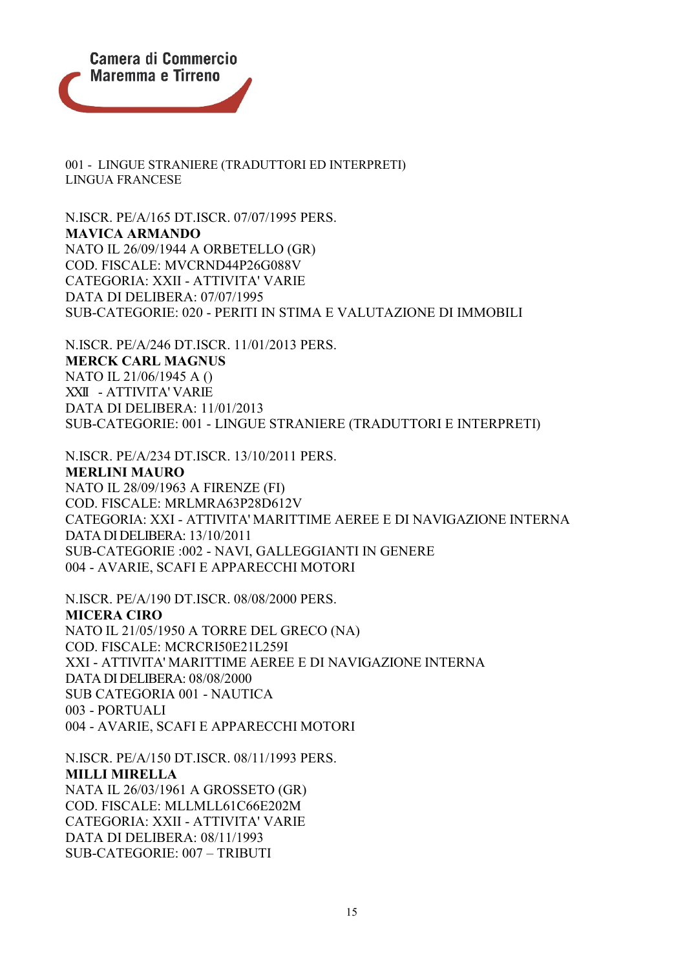

001 - LINGUE STRANIERE (TRADUTTORI ED INTERPRETI) LINGUA FRANCESE

N.ISCR. PE/A/165 DT.ISCR. 07/07/1995 PERS. **MAVICA ARMANDO** NATO IL 26/09/1944 A ORBETELLO (GR) COD. FISCALE: MVCRND44P26G088V CATEGORIA: XXII - ATTIVITA' VARIE DATA DI DELIBERA: 07/07/1995 SUB-CATEGORIE: 020 - PERITI IN STIMA E VALUTAZIONE DI IMMOBILI

N.ISCR. PE/A/246 DT.ISCR. 11/01/2013 PERS. **MERCK CARL MAGNUS** NATO IL 21/06/1945 A () XXII - ATTIVITA' VARIE DATA DI DELIBERA: 11/01/2013 SUB-CATEGORIE: 001 - LINGUE STRANIERE (TRADUTTORI E INTERPRETI)

N.ISCR. PE/A/234 DT.ISCR. 13/10/2011 PERS.

## **MERLINI MAURO**

NATO IL 28/09/1963 A FIRENZE (FI) COD. FISCALE: MRLMRA63P28D612V CATEGORIA: XXI - ATTIVITA' MARITTIME AEREE E DI NAVIGAZIONE INTERNA DATA DI DELIBERA: 13/10/2011 SUB-CATEGORIE :002 - NAVI, GALLEGGIANTI IN GENERE 004 - AVARIE, SCAFI E APPARECCHI MOTORI

N.ISCR. PE/A/190 DT.ISCR. 08/08/2000 PERS. **MICERA CIRO** NATO IL 21/05/1950 A TORRE DEL GRECO (NA) COD. FISCALE: MCRCRI50E21L259I XXI - ATTIVITA' MARITTIME AEREE E DI NAVIGAZIONE INTERNA DATA DI DELIBERA: 08/08/2000 SUB CATEGORIA 001 - NAUTICA 003 - PORTUALI 004 - AVARIE, SCAFI E APPARECCHI MOTORI

N.ISCR. PE/A/150 DT.ISCR. 08/11/1993 PERS. **MILLI MIRELLA** NATA IL 26/03/1961 A GROSSETO (GR) COD. FISCALE: MLLMLL61C66E202M CATEGORIA: XXII - ATTIVITA' VARIE DATA DI DELIBERA: 08/11/1993 SUB-CATEGORIE: 007 – TRIBUTI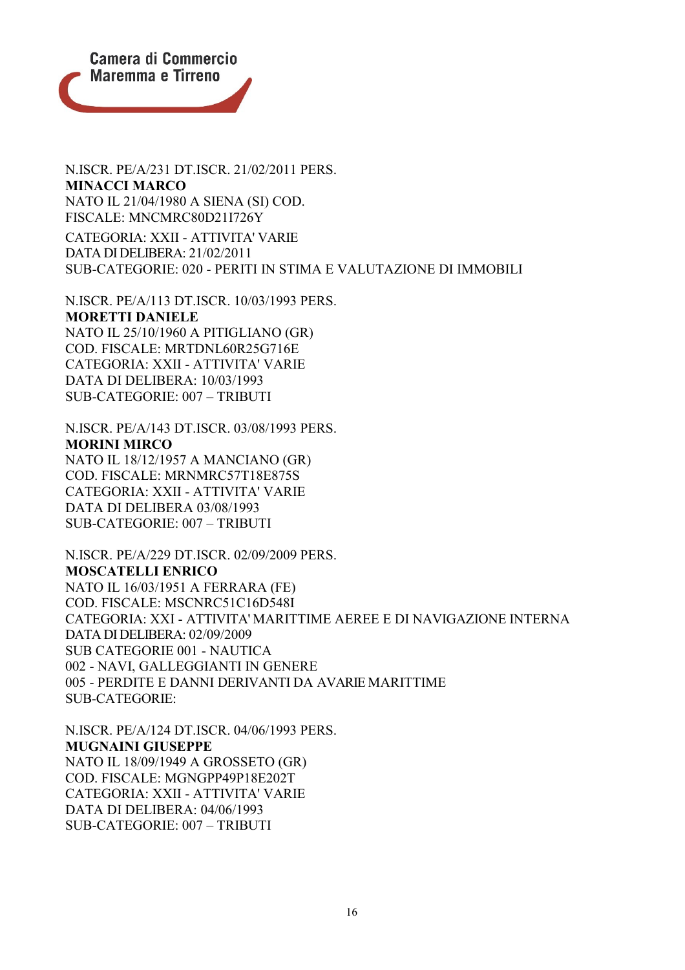

N.ISCR. PE/A/231 DT.ISCR. 21/02/2011 PERS. **MINACCI MARCO** NATO IL 21/04/1980 A SIENA (SI) COD. FISCALE: MNCMRC80D21I726Y CATEGORIA: XXII - ATTIVITA' VARIE

DATA DI DELIBERA: 21/02/2011 SUB-CATEGORIE: 020 - PERITI IN STIMA E VALUTAZIONE DI IMMOBILI

N.ISCR. PE/A/113 DT.ISCR. 10/03/1993 PERS. **MORETTI DANIELE** NATO IL 25/10/1960 A PITIGLIANO (GR) COD. FISCALE: MRTDNL60R25G716E CATEGORIA: XXII - ATTIVITA' VARIE DATA DI DELIBERA: 10/03/1993 SUB-CATEGORIE: 007 – TRIBUTI

N.ISCR. PE/A/143 DT.ISCR. 03/08/1993 PERS. **MORINI MIRCO** NATO IL 18/12/1957 A MANCIANO (GR) COD. FISCALE: MRNMRC57T18E875S CATEGORIA: XXII - ATTIVITA' VARIE DATA DI DELIBERA 03/08/1993 SUB-CATEGORIE: 007 – TRIBUTI

N.ISCR. PE/A/229 DT.ISCR. 02/09/2009 PERS. **MOSCATELLI ENRICO** NATO IL 16/03/1951 A FERRARA (FE) COD. FISCALE: MSCNRC51C16D548I CATEGORIA: XXI - ATTIVITA' MARITTIME AEREE E DI NAVIGAZIONE INTERNA DATA DI DELIBERA: 02/09/2009 SUB CATEGORIE 001 - NAUTICA 002 - NAVI, GALLEGGIANTI IN GENERE 005 - PERDITE E DANNI DERIVANTI DA AVARIE MARITTIME SUB-CATEGORIE:

N.ISCR. PE/A/124 DT.ISCR. 04/06/1993 PERS. **MUGNAINI GIUSEPPE** NATO IL 18/09/1949 A GROSSETO (GR) COD. FISCALE: MGNGPP49P18E202T CATEGORIA: XXII - ATTIVITA' VARIE DATA DI DELIBERA: 04/06/1993 SUB-CATEGORIE: 007 – TRIBUTI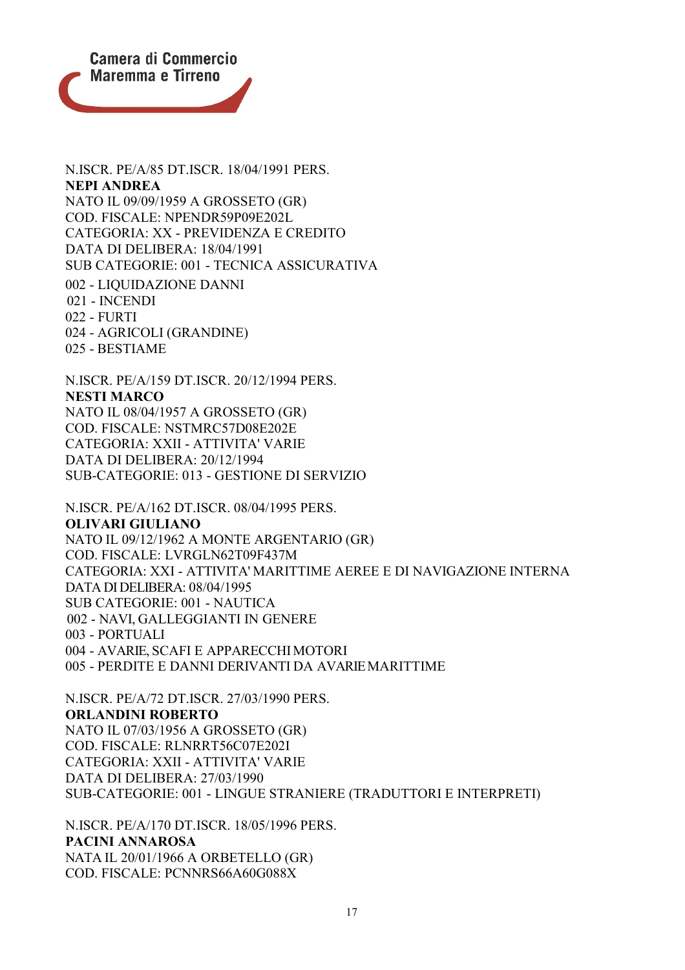

N.ISCR. PE/A/85 DT.ISCR. 18/04/1991 PERS. **NEPI ANDREA** NATO IL 09/09/1959 A GROSSETO (GR) COD. FISCALE: NPENDR59P09E202L CATEGORIA: XX - PREVIDENZA E CREDITO DATA DI DELIBERA: 18/04/1991 SUB CATEGORIE: 001 - TECNICA ASSICURATIVA 002 - LIQUIDAZIONE DANNI 021 - INCENDI 022 - FURTI 024 - AGRICOLI (GRANDINE) 025 - BESTIAME

N.ISCR. PE/A/159 DT.ISCR. 20/12/1994 PERS. **NESTI MARCO** NATO IL 08/04/1957 A GROSSETO (GR) COD. FISCALE: NSTMRC57D08E202E CATEGORIA: XXII - ATTIVITA' VARIE DATA DI DELIBERA: 20/12/1994 SUB-CATEGORIE: 013 - GESTIONE DI SERVIZIO

N.ISCR. PE/A/162 DT.ISCR. 08/04/1995 PERS. **OLIVARI GIULIANO** NATO IL 09/12/1962 A MONTE ARGENTARIO (GR) COD. FISCALE: LVRGLN62T09F437M CATEGORIA: XXI - ATTIVITA' MARITTIME AEREE E DI NAVIGAZIONE INTERNA DATA DI DELIBERA: 08/04/1995 SUB CATEGORIE: 001 - NAUTICA 002 - NAVI, GALLEGGIANTI IN GENERE 003 - PORTUALI 004 - AVARIE, SCAFI E APPARECCHIMOTORI 005 - PERDITE E DANNI DERIVANTI DA AVARIEMARITTIME

N.ISCR. PE/A/72 DT.ISCR. 27/03/1990 PERS. **ORLANDINI ROBERTO** NATO IL 07/03/1956 A GROSSETO (GR) COD. FISCALE: RLNRRT56C07E202I CATEGORIA: XXII - ATTIVITA' VARIE DATA DI DELIBERA: 27/03/1990 SUB-CATEGORIE: 001 - LINGUE STRANIERE (TRADUTTORI E INTERPRETI)

N.ISCR. PE/A/170 DT.ISCR. 18/05/1996 PERS. **PACINI ANNAROSA** NATA IL 20/01/1966 A ORBETELLO (GR) COD. FISCALE: PCNNRS66A60G088X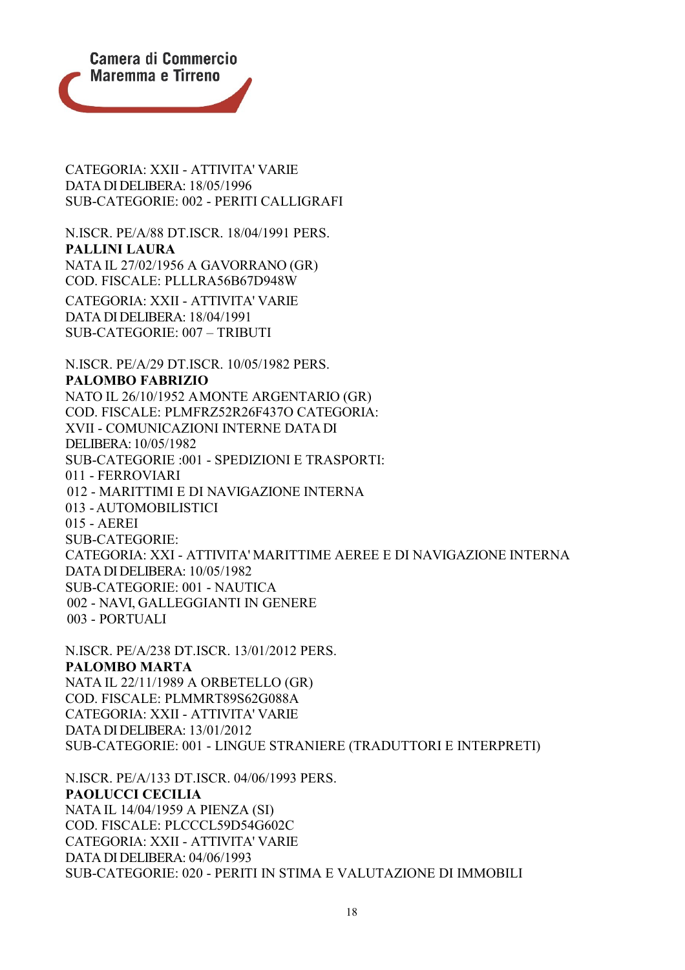

CATEGORIA: XXII - ATTIVITA' VARIE DATA DI DELIBERA: 18/05/1996 SUB-CATEGORIE: 002 - PERITI CALLIGRAFI

N.ISCR. PE/A/88 DT.ISCR. 18/04/1991 PERS. **PALLINI LAURA** NATA IL 27/02/1956 A GAVORRANO (GR) COD. FISCALE: PLLLRA56B67D948W CATEGORIA: XXII - ATTIVITA' VARIE DATA DI DELIBERA: 18/04/1991

SUB-CATEGORIE: 007 – TRIBUTI

N.ISCR. PE/A/29 DT.ISCR. 10/05/1982 PERS. **PALOMBO FABRIZIO** NATO IL 26/10/1952 AMONTE ARGENTARIO (GR) COD. FISCALE: PLMFRZ52R26F437O CATEGORIA: XVII - COMUNICAZIONI INTERNE DATA DI DELIBERA:10/05/1982 SUB-CATEGORIE :001 - SPEDIZIONI E TRASPORTI: 011 - FERROVIARI 012 - MARITTIMI E DI NAVIGAZIONE INTERNA 013 - AUTOMOBILISTICI 015 - AEREI SUB-CATEGORIE: CATEGORIA: XXI - ATTIVITA' MARITTIME AEREE E DI NAVIGAZIONE INTERNA DATA DI DELIBERA: 10/05/1982 SUB-CATEGORIE: 001 - NAUTICA 002 - NAVI, GALLEGGIANTI IN GENERE 003 - PORTUALI

N.ISCR. PE/A/238 DT.ISCR. 13/01/2012 PERS. **PALOMBO MARTA** NATA IL 22/11/1989 A ORBETELLO (GR) COD. FISCALE: PLMMRT89S62G088A CATEGORIA: XXII - ATTIVITA' VARIE DATA DI DELIBERA: 13/01/2012 SUB-CATEGORIE: 001 - LINGUE STRANIERE (TRADUTTORI E INTERPRETI)

N.ISCR. PE/A/133 DT.ISCR. 04/06/1993 PERS. **PAOLUCCI CECILIA** NATA IL 14/04/1959 A PIENZA (SI) COD. FISCALE: PLCCCL59D54G602C CATEGORIA: XXII - ATTIVITA' VARIE DATA DI DELIBERA: 04/06/1993 SUB-CATEGORIE: 020 - PERITI IN STIMA E VALUTAZIONE DI IMMOBILI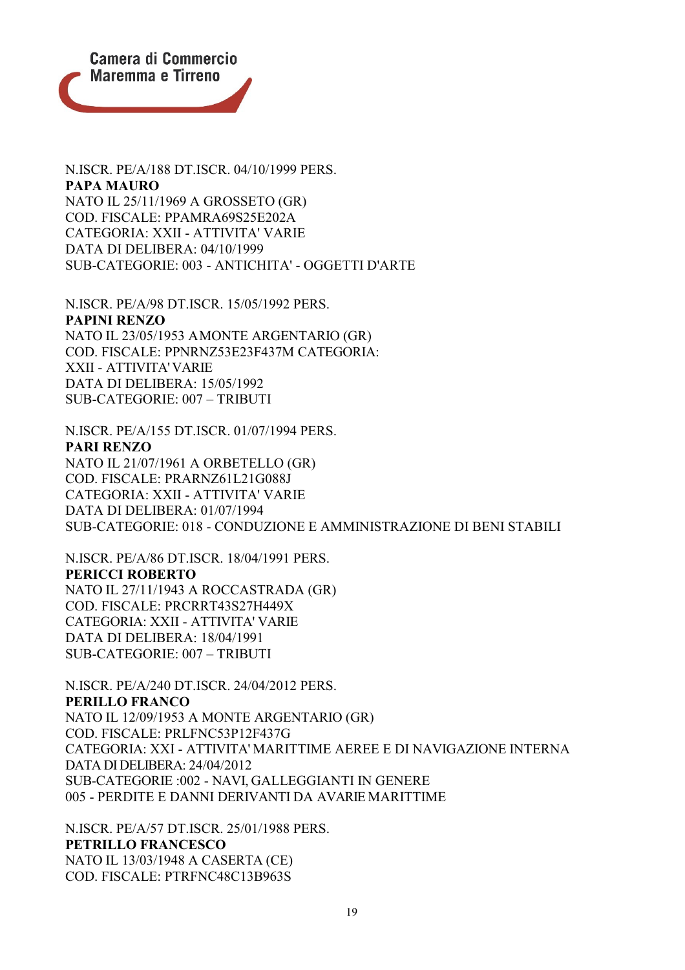

N.ISCR. PE/A/188 DT.ISCR. 04/10/1999 PERS. **PAPA MAURO** NATO IL 25/11/1969 A GROSSETO (GR) COD. FISCALE: PPAMRA69S25E202A CATEGORIA: XXII - ATTIVITA' VARIE DATA DI DELIBERA: 04/10/1999 SUB-CATEGORIE: 003 - ANTICHITA' - OGGETTI D'ARTE

N.ISCR. PE/A/98 DT.ISCR. 15/05/1992 PERS. **PAPINI RENZO** NATO IL 23/05/1953 AMONTE ARGENTARIO (GR) COD. FISCALE: PPNRNZ53E23F437M CATEGORIA: XXII - ATTIVITA'VARIE DATA DI DELIBERA: 15/05/1992 SUB-CATEGORIE: 007 – TRIBUTI

N.ISCR. PE/A/155 DT.ISCR. 01/07/1994 PERS. **PARI RENZO** NATO IL 21/07/1961 A ORBETELLO (GR) COD. FISCALE: PRARNZ61L21G088J CATEGORIA: XXII - ATTIVITA' VARIE DATA DI DELIBERA: 01/07/1994 SUB-CATEGORIE: 018 - CONDUZIONE E AMMINISTRAZIONE DI BENI STABILI

N.ISCR. PE/A/86 DT.ISCR. 18/04/1991 PERS. **PERICCI ROBERTO** NATO IL 27/11/1943 A ROCCASTRADA (GR) COD. FISCALE: PRCRRT43S27H449X CATEGORIA: XXII - ATTIVITA' VARIE DATA DI DELIBERA: 18/04/1991 SUB-CATEGORIE: 007 – TRIBUTI

N.ISCR. PE/A/240 DT.ISCR. 24/04/2012 PERS. **PERILLO FRANCO** NATO IL 12/09/1953 A MONTE ARGENTARIO (GR) COD. FISCALE: PRLFNC53P12F437G CATEGORIA: XXI - ATTIVITA' MARITTIME AEREE E DI NAVIGAZIONE INTERNA DATA DI DELIBERA: 24/04/2012 SUB-CATEGORIE :002 - NAVI, GALLEGGIANTI IN GENERE 005 - PERDITE E DANNI DERIVANTI DA AVARIE MARITTIME

N.ISCR. PE/A/57 DT.ISCR. 25/01/1988 PERS. **PETRILLO FRANCESCO** NATO IL 13/03/1948 A CASERTA (CE) COD. FISCALE: PTRFNC48C13B963S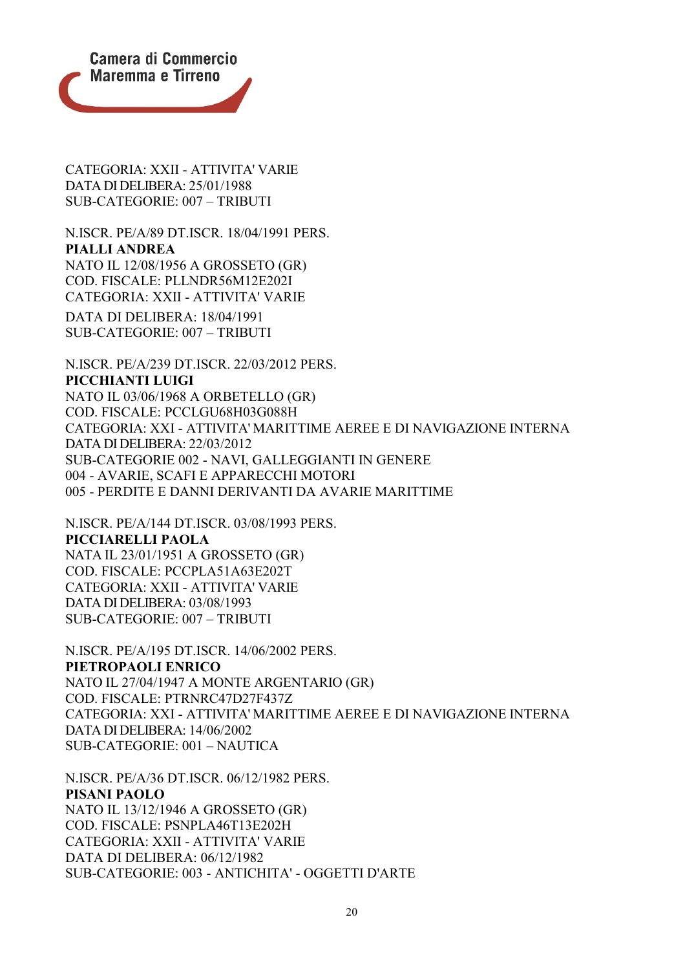

CATEGORIA: XXII - ATTIVITA' VARIE DATA DI DELIBERA: 25/01/1988 SUB-CATEGORIE: 007 – TRIBUTI

N.ISCR. PE/A/89 DT.ISCR. 18/04/1991 PERS. **PIALLI ANDREA** NATO IL 12/08/1956 A GROSSETO (GR) COD. FISCALE: PLLNDR56M12E202I CATEGORIA: XXII - ATTIVITA' VARIE DATA DI DELIBERA: 18/04/1991 SUB-CATEGORIE: 007 – TRIBUTI

N.ISCR. PE/A/239 DT.ISCR. 22/03/2012 PERS. **PICCHIANTI LUIGI** NATO IL 03/06/1968 A ORBETELLO (GR) COD. FISCALE: PCCLGU68H03G088H CATEGORIA: XXI - ATTIVITA' MARITTIME AEREE E DI NAVIGAZIONE INTERNA DATA DI DELIBERA: 22/03/2012 SUB-CATEGORIE 002 - NAVI, GALLEGGIANTI IN GENERE 004 - AVARIE, SCAFI E APPARECCHI MOTORI 005 - PERDITE E DANNI DERIVANTI DA AVARIE MARITTIME

N.ISCR. PE/A/144 DT.ISCR. 03/08/1993 PERS. **PICCIARELLI PAOLA** NATA IL 23/01/1951 A GROSSETO (GR) COD. FISCALE: PCCPLA51A63E202T CATEGORIA: XXII - ATTIVITA' VARIE DATA DI DELIBERA: 03/08/1993 SUB-CATEGORIE: 007 – TRIBUTI

N.ISCR. PE/A/195 DT.ISCR. 14/06/2002 PERS. **PIETROPAOLI ENRICO** NATO IL 27/04/1947 A MONTE ARGENTARIO (GR) COD. FISCALE: PTRNRC47D27F437Z CATEGORIA: XXI - ATTIVITA' MARITTIME AEREE E DI NAVIGAZIONE INTERNA DATA DI DELIBERA: 14/06/2002 SUB-CATEGORIE: 001 – NAUTICA

N.ISCR. PE/A/36 DT.ISCR. 06/12/1982 PERS. **PISANI PAOLO** NATO IL 13/12/1946 A GROSSETO (GR) COD. FISCALE: PSNPLA46T13E202H CATEGORIA: XXII - ATTIVITA' VARIE DATA DI DELIBERA: 06/12/1982 SUB-CATEGORIE: 003 - ANTICHITA' - OGGETTI D'ARTE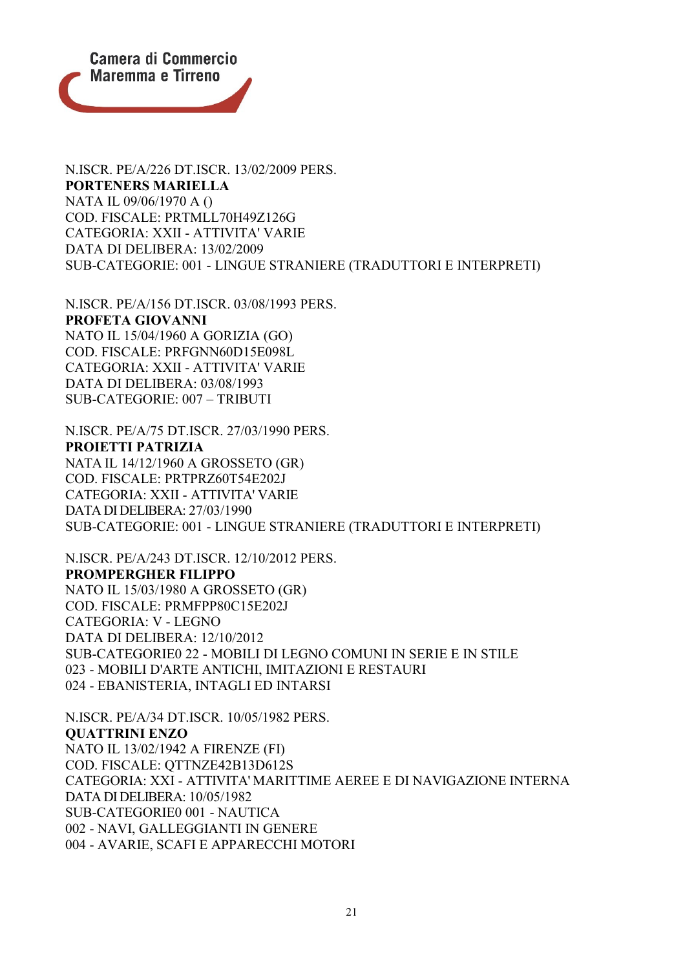

N.ISCR. PE/A/226 DT.ISCR. 13/02/2009 PERS. **PORTENERS MARIELLA** NATA IL 09/06/1970 A () COD. FISCALE: PRTMLL70H49Z126G CATEGORIA: XXII - ATTIVITA' VARIE DATA DI DELIBERA: 13/02/2009 SUB-CATEGORIE: 001 - LINGUE STRANIERE (TRADUTTORI E INTERPRETI)

N.ISCR. PE/A/156 DT.ISCR. 03/08/1993 PERS. **PROFETA GIOVANNI** NATO IL 15/04/1960 A GORIZIA (GO) COD. FISCALE: PRFGNN60D15E098L CATEGORIA: XXII - ATTIVITA' VARIE DATA DI DELIBERA: 03/08/1993 SUB-CATEGORIE: 007 – TRIBUTI

N.ISCR. PE/A/75 DT.ISCR. 27/03/1990 PERS. **PROIETTI PATRIZIA** NATA IL 14/12/1960 A GROSSETO (GR) COD. FISCALE: PRTPRZ60T54E202J CATEGORIA: XXII - ATTIVITA' VARIE DATA DI DELIBERA: 27/03/1990 SUB-CATEGORIE: 001 - LINGUE STRANIERE (TRADUTTORI E INTERPRETI)

N.ISCR. PE/A/243 DT.ISCR. 12/10/2012 PERS. **PROMPERGHER FILIPPO** NATO IL 15/03/1980 A GROSSETO (GR) COD. FISCALE: PRMFPP80C15E202J CATEGORIA: V - LEGNO DATA DI DELIBERA: 12/10/2012 SUB-CATEGORIE0 22 - MOBILI DI LEGNO COMUNI IN SERIE E IN STILE 023 - MOBILI D'ARTE ANTICHI, IMITAZIONI E RESTAURI 024 - EBANISTERIA, INTAGLI ED INTARSI

N.ISCR. PE/A/34 DT.ISCR. 10/05/1982 PERS. **QUATTRINI ENZO** NATO IL 13/02/1942 A FIRENZE (FI) COD. FISCALE: QTTNZE42B13D612S CATEGORIA: XXI - ATTIVITA' MARITTIME AEREE E DI NAVIGAZIONE INTERNA DATA DI DELIBERA: 10/05/1982 SUB-CATEGORIE0 001 - NAUTICA 002 - NAVI, GALLEGGIANTI IN GENERE 004 - AVARIE, SCAFI E APPARECCHI MOTORI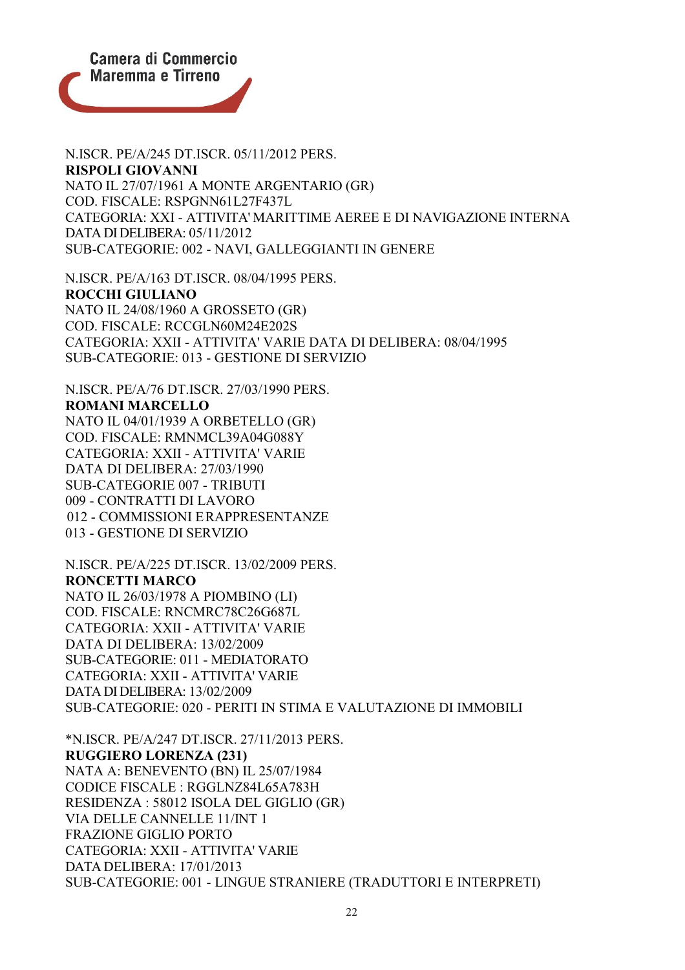

N.ISCR. PE/A/245 DT.ISCR. 05/11/2012 PERS. **RISPOLI GIOVANNI** NATO IL 27/07/1961 A MONTE ARGENTARIO (GR) COD. FISCALE: RSPGNN61L27F437L CATEGORIA: XXI - ATTIVITA' MARITTIME AEREE E DI NAVIGAZIONE INTERNA DATA DI DELIBERA: 05/11/2012 SUB-CATEGORIE: 002 - NAVI, GALLEGGIANTI IN GENERE

N.ISCR. PE/A/163 DT.ISCR. 08/04/1995 PERS. **ROCCHI GIULIANO** NATO IL 24/08/1960 A GROSSETO (GR) COD. FISCALE: RCCGLN60M24E202S CATEGORIA: XXII - ATTIVITA' VARIE DATA DI DELIBERA: 08/04/1995 SUB-CATEGORIE: 013 - GESTIONE DI SERVIZIO

N.ISCR. PE/A/76 DT.ISCR. 27/03/1990 PERS. **ROMANI MARCELLO** NATO IL 04/01/1939 A ORBETELLO (GR) COD. FISCALE: RMNMCL39A04G088Y CATEGORIA: XXII - ATTIVITA' VARIE DATA DI DELIBERA: 27/03/1990 SUB-CATEGORIE 007 - TRIBUTI 009 - CONTRATTI DI LAVORO 012 - COMMISSIONI ERAPPRESENTANZE 013 - GESTIONE DI SERVIZIO

N.ISCR. PE/A/225 DT.ISCR. 13/02/2009 PERS. **RONCETTI MARCO** NATO IL 26/03/1978 A PIOMBINO (LI) COD. FISCALE: RNCMRC78C26G687L CATEGORIA: XXII - ATTIVITA' VARIE DATA DI DELIBERA: 13/02/2009 SUB-CATEGORIE: 011 - MEDIATORATO CATEGORIA: XXII - ATTIVITA' VARIE DATA DI DELIBERA: 13/02/2009 SUB-CATEGORIE: 020 - PERITI IN STIMA E VALUTAZIONE DI IMMOBILI

\*N.ISCR. PE/A/247 DT.ISCR. 27/11/2013 PERS. **RUGGIERO LORENZA (231)** NATA A: BENEVENTO (BN) IL 25/07/1984 CODICE FISCALE : RGGLNZ84L65A783H RESIDENZA : 58012 ISOLA DEL GIGLIO (GR) VIA DELLE CANNELLE 11/INT 1 FRAZIONE GIGLIO PORTO CATEGORIA: XXII - ATTIVITA' VARIE DATA DELIBERA: 17/01/2013 SUB-CATEGORIE: 001 - LINGUE STRANIERE (TRADUTTORI E INTERPRETI)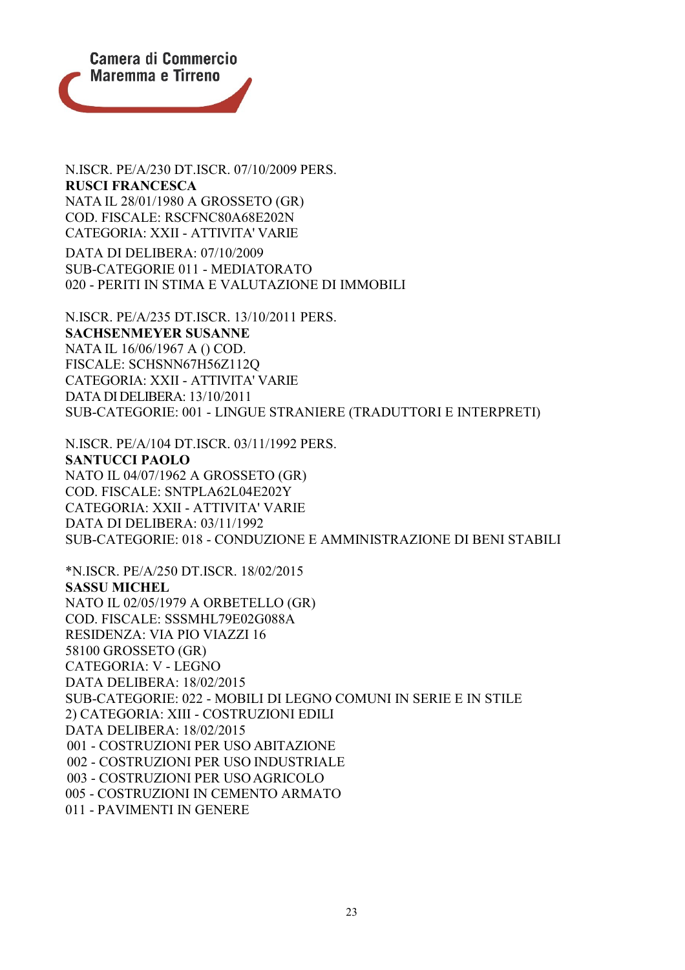

N.ISCR. PE/A/230 DT.ISCR. 07/10/2009 PERS. **RUSCI FRANCESCA** NATA IL 28/01/1980 A GROSSETO (GR) COD. FISCALE: RSCFNC80A68E202N CATEGORIA: XXII - ATTIVITA' VARIE

DATA DI DELIBERA: 07/10/2009 SUB-CATEGORIE 011 - MEDIATORATO 020 - PERITI IN STIMA E VALUTAZIONE DI IMMOBILI

N.ISCR. PE/A/235 DT.ISCR. 13/10/2011 PERS. **SACHSENMEYER SUSANNE** NATA IL 16/06/1967 A () COD. FISCALE: SCHSNN67H56Z112Q CATEGORIA: XXII - ATTIVITA' VARIE DATA DI DELIBERA: 13/10/2011 SUB-CATEGORIE: 001 - LINGUE STRANIERE (TRADUTTORI E INTERPRETI)

N.ISCR. PE/A/104 DT.ISCR. 03/11/1992 PERS. **SANTUCCI PAOLO** NATO IL 04/07/1962 A GROSSETO (GR) COD. FISCALE: SNTPLA62L04E202Y CATEGORIA: XXII - ATTIVITA' VARIE DATA DI DELIBERA: 03/11/1992 SUB-CATEGORIE: 018 - CONDUZIONE E AMMINISTRAZIONE DI BENI STABILI

\*N.ISCR. PE/A/250 DT.ISCR. 18/02/2015 **SASSU MICHEL** NATO IL 02/05/1979 A ORBETELLO (GR) COD. FISCALE: SSSMHL79E02G088A RESIDENZA: VIA PIO VIAZZI 16 58100 GROSSETO (GR) CATEGORIA: V - LEGNO DATA DELIBERA: 18/02/2015 SUB-CATEGORIE: 022 - MOBILI DI LEGNO COMUNI IN SERIE E IN STILE 2) CATEGORIA: XIII - COSTRUZIONI EDILI DATA DELIBERA: 18/02/2015 001 - COSTRUZIONI PER USO ABITAZIONE 002 - COSTRUZIONI PER USO INDUSTRIALE 003 - COSTRUZIONI PER USOAGRICOLO 005 - COSTRUZIONI IN CEMENTO ARMATO 011 - PAVIMENTI IN GENERE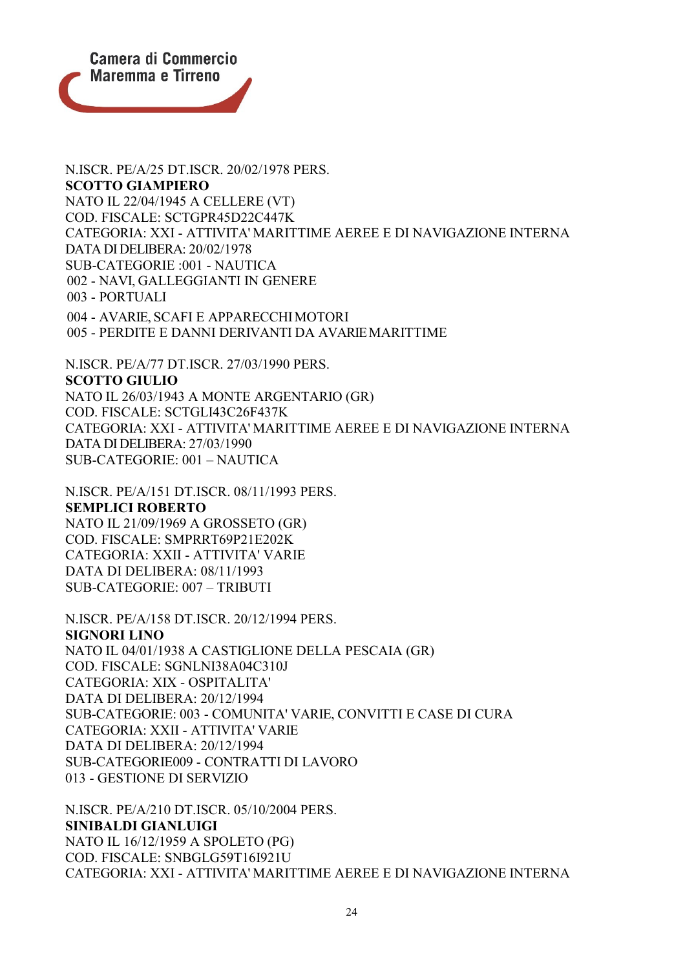

N.ISCR. PE/A/25 DT.ISCR. 20/02/1978 PERS. **SCOTTO GIAMPIERO** NATO IL 22/04/1945 A CELLERE (VT) COD. FISCALE: SCTGPR45D22C447K CATEGORIA: XXI - ATTIVITA' MARITTIME AEREE E DI NAVIGAZIONE INTERNA DATA DI DELIBERA: 20/02/1978 SUB-CATEGORIE :001 - NAUTICA 002 - NAVI, GALLEGGIANTI IN GENERE 003 - PORTUALI 004 - AVARIE, SCAFI E APPARECCHIMOTORI 005 - PERDITE E DANNI DERIVANTI DA AVARIEMARITTIME

N.ISCR. PE/A/77 DT.ISCR. 27/03/1990 PERS. **SCOTTO GIULIO** NATO IL 26/03/1943 A MONTE ARGENTARIO (GR) COD. FISCALE: SCTGLI43C26F437K CATEGORIA: XXI - ATTIVITA' MARITTIME AEREE E DI NAVIGAZIONE INTERNA DATA DI DELIBERA: 27/03/1990 SUB-CATEGORIE: 001 – NAUTICA

N.ISCR. PE/A/151 DT.ISCR. 08/11/1993 PERS. **SEMPLICI ROBERTO** NATO IL 21/09/1969 A GROSSETO (GR) COD. FISCALE: SMPRRT69P21E202K CATEGORIA: XXII - ATTIVITA' VARIE DATA DI DELIBERA: 08/11/1993 SUB-CATEGORIE: 007 – TRIBUTI

N.ISCR. PE/A/158 DT.ISCR. 20/12/1994 PERS. **SIGNORI LINO** NATO IL 04/01/1938 A CASTIGLIONE DELLA PESCAIA (GR) COD. FISCALE: SGNLNI38A04C310J CATEGORIA: XIX - OSPITALITA' DATA DI DELIBERA: 20/12/1994 SUB-CATEGORIE: 003 - COMUNITA' VARIE, CONVITTI E CASE DI CURA CATEGORIA: XXII - ATTIVITA' VARIE DATA DI DELIBERA: 20/12/1994 SUB-CATEGORIE009 - CONTRATTI DI LAVORO 013 - GESTIONE DI SERVIZIO

N.ISCR. PE/A/210 DT.ISCR. 05/10/2004 PERS. **SINIBALDI GIANLUIGI** NATO IL 16/12/1959 A SPOLETO (PG) COD. FISCALE: SNBGLG59T16I921U CATEGORIA: XXI - ATTIVITA' MARITTIME AEREE E DI NAVIGAZIONE INTERNA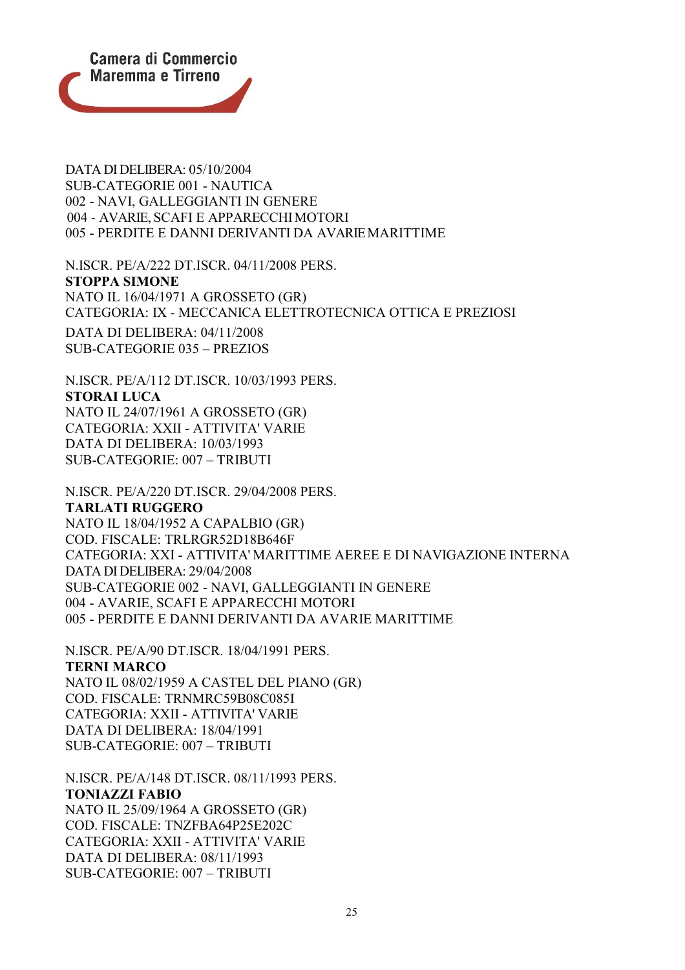

DATA DI DELIBERA: 05/10/2004 SUB-CATEGORIE 001 - NAUTICA 002 - NAVI, GALLEGGIANTI IN GENERE 004 - AVARIE, SCAFI E APPARECCHIMOTORI 005 - PERDITE E DANNI DERIVANTI DA AVARIEMARITTIME

N.ISCR. PE/A/222 DT.ISCR. 04/11/2008 PERS. **STOPPA SIMONE** NATO IL 16/04/1971 A GROSSETO (GR) CATEGORIA: IX - MECCANICA ELETTROTECNICA OTTICA E PREZIOSI DATA DI DELIBERA: 04/11/2008 SUB-CATEGORIE 035 – PREZIOS

N.ISCR. PE/A/112 DT.ISCR. 10/03/1993 PERS. **STORAI LUCA** NATO IL 24/07/1961 A GROSSETO (GR) CATEGORIA: XXII - ATTIVITA' VARIE DATA DI DELIBERA: 10/03/1993 SUB-CATEGORIE: 007 – TRIBUTI

N.ISCR. PE/A/220 DT.ISCR. 29/04/2008 PERS. **TARLATI RUGGERO** NATO IL 18/04/1952 A CAPALBIO (GR) COD. FISCALE: TRLRGR52D18B646F CATEGORIA: XXI - ATTIVITA' MARITTIME AEREE E DI NAVIGAZIONE INTERNA DATA DI DELIBERA: 29/04/2008 SUB-CATEGORIE 002 - NAVI, GALLEGGIANTI IN GENERE 004 - AVARIE, SCAFI E APPARECCHI MOTORI 005 - PERDITE E DANNI DERIVANTI DA AVARIE MARITTIME

N.ISCR. PE/A/90 DT.ISCR. 18/04/1991 PERS. **TERNI MARCO** NATO IL 08/02/1959 A CASTEL DEL PIANO (GR) COD. FISCALE: TRNMRC59B08C085I CATEGORIA: XXII - ATTIVITA' VARIE DATA DI DELIBERA: 18/04/1991 SUB-CATEGORIE: 007 – TRIBUTI

N.ISCR. PE/A/148 DT.ISCR. 08/11/1993 PERS. **TONIAZZI FABIO** NATO IL 25/09/1964 A GROSSETO (GR) COD. FISCALE: TNZFBA64P25E202C CATEGORIA: XXII - ATTIVITA' VARIE DATA DI DELIBERA: 08/11/1993 SUB-CATEGORIE: 007 – TRIBUTI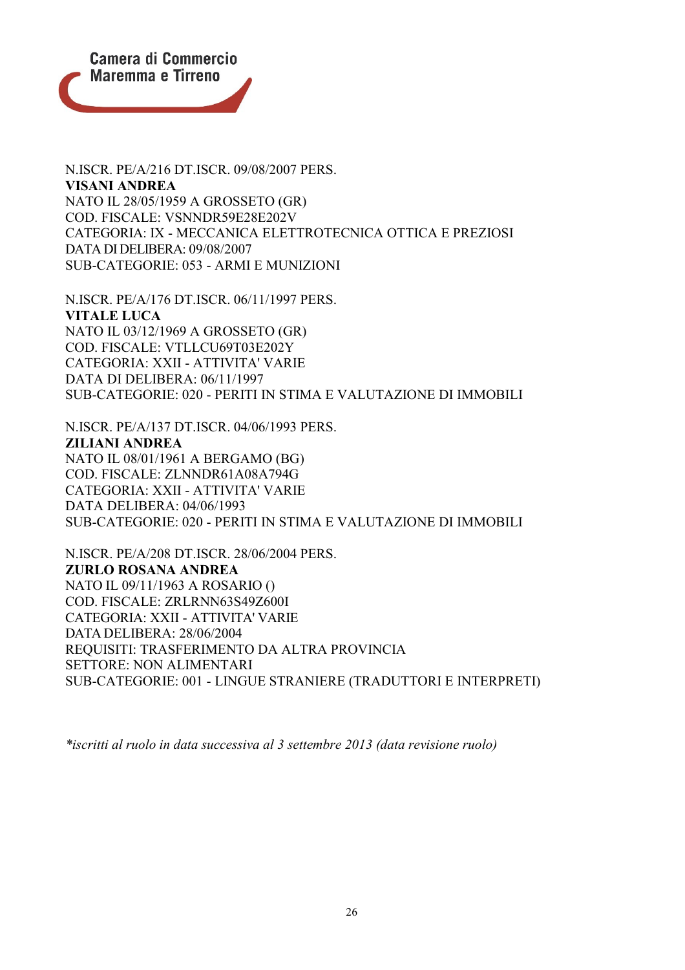

N.ISCR. PE/A/216 DT.ISCR. 09/08/2007 PERS. **VISANI ANDREA** NATO IL 28/05/1959 A GROSSETO (GR) COD. FISCALE: VSNNDR59E28E202V CATEGORIA: IX - MECCANICA ELETTROTECNICA OTTICA E PREZIOSI DATA DI DELIBERA: 09/08/2007 SUB-CATEGORIE: 053 - ARMI E MUNIZIONI

N.ISCR. PE/A/176 DT.ISCR. 06/11/1997 PERS. **VITALE LUCA** NATO IL 03/12/1969 A GROSSETO (GR) COD. FISCALE: VTLLCU69T03E202Y CATEGORIA: XXII - ATTIVITA' VARIE DATA DI DELIBERA: 06/11/1997 SUB-CATEGORIE: 020 - PERITI IN STIMA E VALUTAZIONE DI IMMOBILI

N.ISCR. PE/A/137 DT.ISCR. 04/06/1993 PERS. **ZILIANI ANDREA** NATO IL 08/01/1961 A BERGAMO (BG) COD. FISCALE: ZLNNDR61A08A794G CATEGORIA: XXII - ATTIVITA' VARIE DATA DELIBERA: 04/06/1993 SUB-CATEGORIE: 020 - PERITI IN STIMA E VALUTAZIONE DI IMMOBILI

N.ISCR. PE/A/208 DT.ISCR. 28/06/2004 PERS. **ZURLO ROSANA ANDREA** NATO IL 09/11/1963 A ROSARIO () COD. FISCALE: ZRLRNN63S49Z600I CATEGORIA: XXII - ATTIVITA' VARIE DATA DELIBERA: 28/06/2004 REQUISITI: TRASFERIMENTO DA ALTRA PROVINCIA SETTORE: NON ALIMENTARI SUB-CATEGORIE: 001 - LINGUE STRANIERE (TRADUTTORI E INTERPRETI)

*\*iscritti al ruolo in data successiva al 3 settembre 2013 (data revisione ruolo)*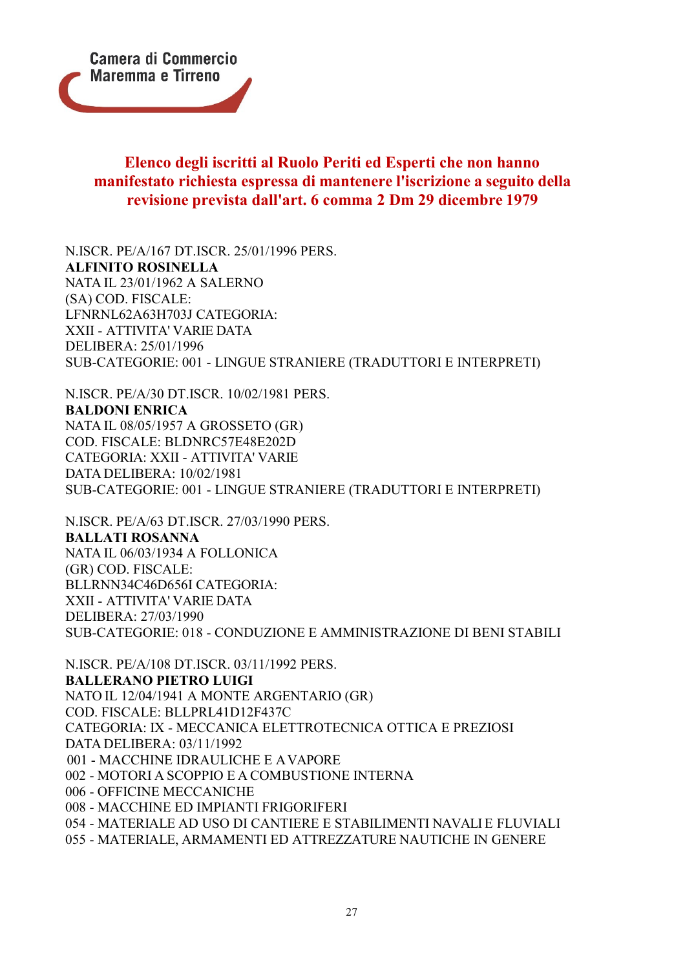

## **Elenco degli iscritti al Ruolo Periti ed Esperti che non hanno manifestato richiesta espressa di mantenere l'iscrizione a seguito della revisione prevista dall'art. 6 comma 2 Dm 29 dicembre 1979**

N.ISCR. PE/A/167 DT.ISCR. 25/01/1996 PERS. **ALFINITO ROSINELLA** NATA IL 23/01/1962 A SALERNO (SA) COD. FISCALE: LFNRNL62A63H703J CATEGORIA: XXII - ATTIVITA' VARIE DATA DELIBERA: 25/01/1996 SUB-CATEGORIE: 001 - LINGUE STRANIERE (TRADUTTORI E INTERPRETI)

N.ISCR. PE/A/30 DT.ISCR. 10/02/1981 PERS. **BALDONI ENRICA** NATA IL 08/05/1957 A GROSSETO (GR) COD. FISCALE: BLDNRC57E48E202D CATEGORIA: XXII - ATTIVITA' VARIE DATA DELIBERA: 10/02/1981 SUB-CATEGORIE: 001 - LINGUE STRANIERE (TRADUTTORI E INTERPRETI)

N.ISCR. PE/A/63 DT.ISCR. 27/03/1990 PERS. **BALLATI ROSANNA** NATA IL 06/03/1934 A FOLLONICA (GR) COD. FISCALE: BLLRNN34C46D656I CATEGORIA: XXII - ATTIVITA' VARIE DATA DELIBERA: 27/03/1990 SUB-CATEGORIE: 018 - CONDUZIONE E AMMINISTRAZIONE DI BENI STABILI

N.ISCR. PE/A/108 DT.ISCR. 03/11/1992 PERS. **BALLERANO PIETRO LUIGI** NATO IL 12/04/1941 A MONTE ARGENTARIO (GR) COD. FISCALE: BLLPRL41D12F437C CATEGORIA: IX - MECCANICA ELETTROTECNICA OTTICA E PREZIOSI DATA DELIBERA: 03/11/1992 001 - MACCHINE IDRAULICHE E AVAPORE 002 - MOTORI A SCOPPIO E A COMBUSTIONE INTERNA 006 - OFFICINE MECCANICHE 008 - MACCHINE ED IMPIANTI FRIGORIFERI 054 - MATERIALE AD USO DI CANTIERE E STABILIMENTI NAVALI E FLUVIALI 055 - MATERIALE, ARMAMENTI ED ATTREZZATURE NAUTICHE IN GENERE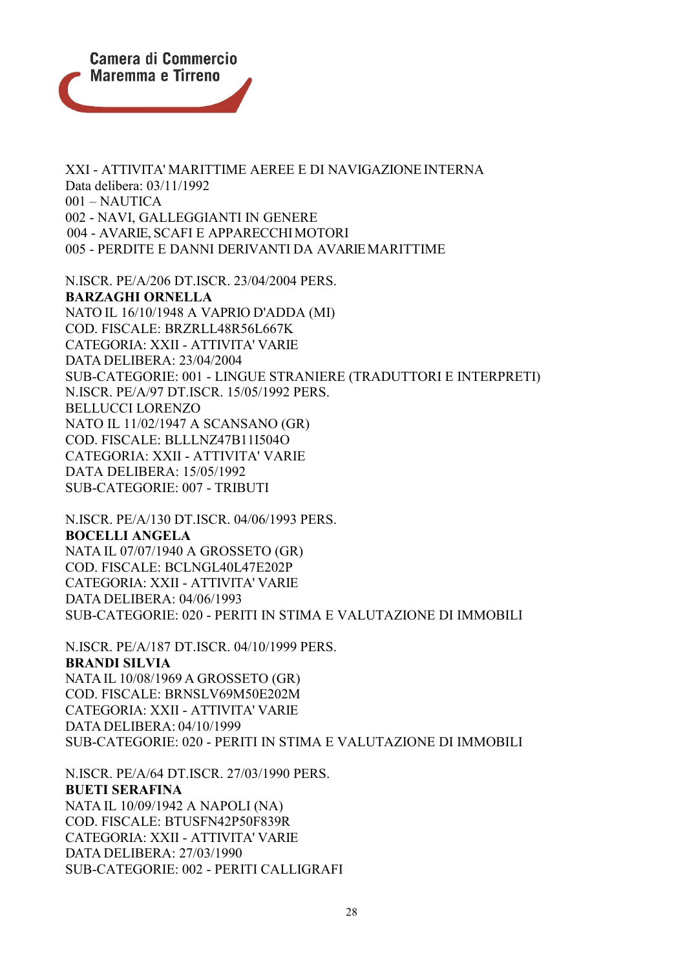

XXI - ATTIVITA' MARITTIME AEREE E DI NAVIGAZIONE INTERNA Data delibera: 03/11/1992 001 – NAUTICA 002 - NAVI, GALLEGGIANTI IN GENERE 004 - AVARIE, SCAFI E APPARECCHIMOTORI 005 - PERDITE E DANNI DERIVANTI DA AVARIEMARITTIME

N.ISCR. PE/A/206 DT.ISCR. 23/04/2004 PERS. **BARZAGHI ORNELLA** NATO IL 16/10/1948 A VAPRIO D'ADDA (MI) COD. FISCALE: BRZRLL48R56L667K CATEGORIA: XXII - ATTIVITA' VARIE DATA DELIBERA: 23/04/2004 SUB-CATEGORIE: 001 - LINGUE STRANIERE (TRADUTTORI E INTERPRETI) N.ISCR. PE/A/97 DT.ISCR. 15/05/1992 PERS. BELLUCCI LORENZO NATO IL 11/02/1947 A SCANSANO (GR) COD. FISCALE: BLLLNZ47B11I504O CATEGORIA: XXII - ATTIVITA' VARIE DATA DELIBERA: 15/05/1992 SUB-CATEGORIE: 007 - TRIBUTI

N.ISCR. PE/A/130 DT.ISCR. 04/06/1993 PERS. **BOCELLI ANGELA** NATA IL 07/07/1940 A GROSSETO (GR) COD. FISCALE: BCLNGL40L47E202P CATEGORIA: XXII - ATTIVITA' VARIE DATA DELIBERA: 04/06/1993 SUB-CATEGORIE: 020 - PERITI IN STIMA E VALUTAZIONE DI IMMOBILI

N.ISCR. PE/A/187 DT.ISCR. 04/10/1999 PERS. **BRANDI SILVIA** NATAIL 10/08/1969 A GROSSETO (GR) COD. FISCALE: BRNSLV69M50E202M CATEGORIA: XXII - ATTIVITA' VARIE DATA DELIBERA: 04/10/1999 SUB-CATEGORIE: 020 - PERITI IN STIMA E VALUTAZIONE DI IMMOBILI

N.ISCR. PE/A/64 DT.ISCR. 27/03/1990 PERS. **BUETI SERAFINA** NATA IL 10/09/1942 A NAPOLI (NA) COD. FISCALE: BTUSFN42P50F839R CATEGORIA: XXII - ATTIVITA' VARIE DATA DELIBERA: 27/03/1990 SUB-CATEGORIE: 002 - PERITI CALLIGRAFI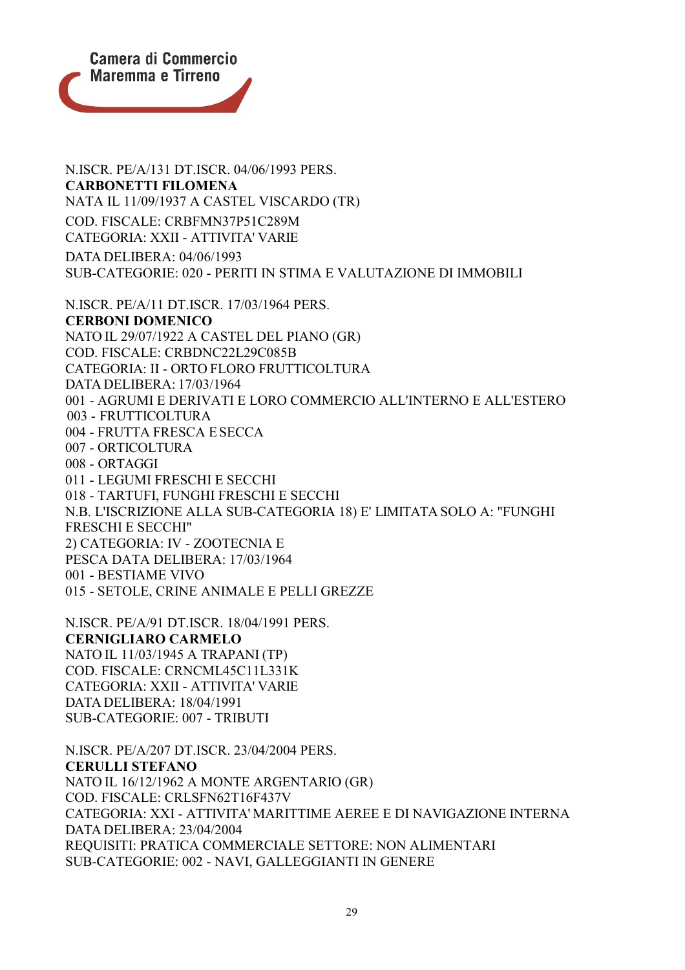

N.ISCR. PE/A/131 DT.ISCR. 04/06/1993 PERS. **CARBONETTI FILOMENA** NATA IL 11/09/1937 A CASTEL VISCARDO (TR) COD. FISCALE: CRBFMN37P51C289M CATEGORIA: XXII - ATTIVITA' VARIE DATA DELIBERA: 04/06/1993 SUB-CATEGORIE: 020 - PERITI IN STIMA E VALUTAZIONE DI IMMOBILI N.ISCR. PE/A/11 DT.ISCR. 17/03/1964 PERS. **CERBONI DOMENICO** NATO IL 29/07/1922 A CASTEL DEL PIANO (GR) COD. FISCALE: CRBDNC22L29C085B CATEGORIA: II - ORTO FLORO FRUTTICOLTURA DATA DELIBERA: 17/03/1964 001 - AGRUMI E DERIVATI E LORO COMMERCIO ALL'INTERNO E ALL'ESTERO 003 - FRUTTICOLTURA 004 - FRUTTA FRESCA ESECCA 007 - ORTICOLTURA 008 - ORTAGGI 011 - LEGUMI FRESCHI E SECCHI 018 - TARTUFI, FUNGHI FRESCHI E SECCHI N.B. L'ISCRIZIONE ALLA SUB-CATEGORIA 18) E' LIMITATA SOLO A: "FUNGHI FRESCHI E SECCHI" 2) CATEGORIA: IV - ZOOTECNIA E PESCA DATA DELIBERA: 17/03/1964 001 - BESTIAME VIVO 015 - SETOLE, CRINE ANIMALE E PELLI GREZZE

N.ISCR. PE/A/91 DT.ISCR. 18/04/1991 PERS. **CERNIGLIARO CARMELO** NATO IL 11/03/1945 A TRAPANI (TP) COD. FISCALE: CRNCML45C11L331K CATEGORIA: XXII - ATTIVITA' VARIE DATA DELIBERA: 18/04/1991 SUB-CATEGORIE: 007 - TRIBUTI

N.ISCR. PE/A/207 DT.ISCR. 23/04/2004 PERS. **CERULLI STEFANO** NATO IL 16/12/1962 A MONTE ARGENTARIO (GR) COD. FISCALE: CRLSFN62T16F437V CATEGORIA: XXI - ATTIVITA' MARITTIME AEREE E DI NAVIGAZIONE INTERNA DATA DELIBERA: 23/04/2004 REQUISITI: PRATICA COMMERCIALE SETTORE: NON ALIMENTARI SUB-CATEGORIE: 002 - NAVI, GALLEGGIANTI IN GENERE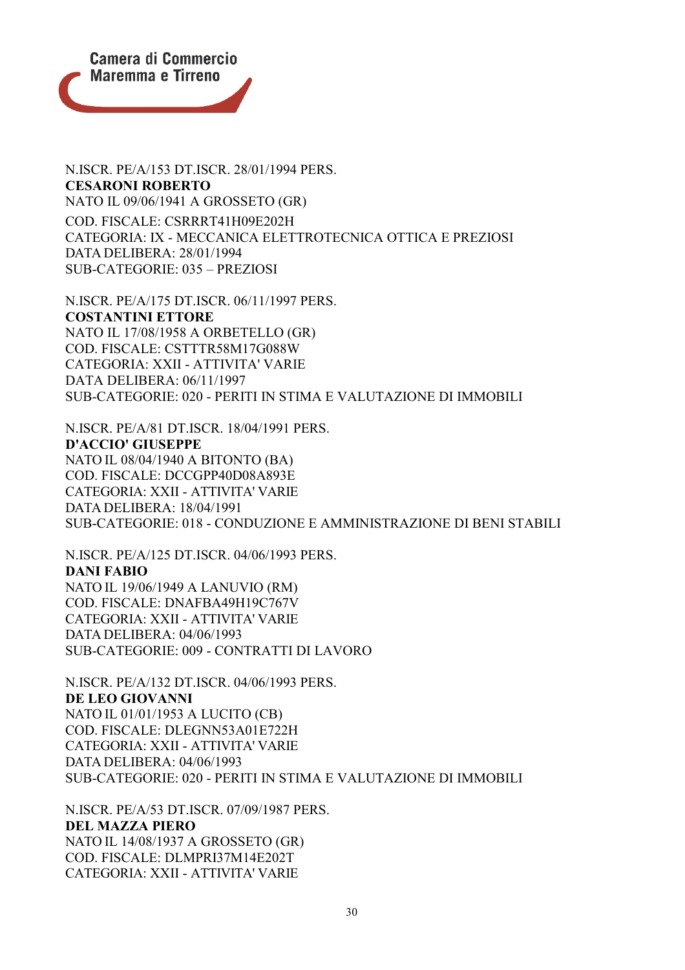

N.ISCR. PE/A/153 DT.ISCR. 28/01/1994 PERS. **CESARONI ROBERTO** NATO IL 09/06/1941 A GROSSETO (GR) COD. FISCALE: CSRRRT41H09E202H CATEGORIA: IX - MECCANICA ELETTROTECNICA OTTICA E PREZIOSI DATA DELIBERA: 28/01/1994 SUB-CATEGORIE: 035 – PREZIOSI

N.ISCR. PE/A/175 DT.ISCR. 06/11/1997 PERS. **COSTANTINI ETTORE** NATO IL 17/08/1958 A ORBETELLO (GR) COD. FISCALE: CSTTTR58M17G088W CATEGORIA: XXII - ATTIVITA' VARIE DATA DELIBERA: 06/11/1997 SUB-CATEGORIE: 020 - PERITI IN STIMA E VALUTAZIONE DI IMMOBILI

N.ISCR. PE/A/81 DT.ISCR. 18/04/1991 PERS. **D'ACCIO' GIUSEPPE** NATO IL 08/04/1940 A BITONTO (BA) COD. FISCALE: DCCGPP40D08A893E CATEGORIA: XXII - ATTIVITA' VARIE DATA DELIBERA: 18/04/1991 SUB-CATEGORIE: 018 - CONDUZIONE E AMMINISTRAZIONE DI BENI STABILI

N.ISCR. PE/A/125 DT.ISCR. 04/06/1993 PERS. **DANI FABIO** NATO IL 19/06/1949 A LANUVIO (RM) COD. FISCALE: DNAFBA49H19C767V CATEGORIA: XXII - ATTIVITA' VARIE DATA DELIBERA: 04/06/1993 SUB-CATEGORIE: 009 - CONTRATTI DI LAVORO

N.ISCR. PE/A/132 DT.ISCR. 04/06/1993 PERS. **DE LEO GIOVANNI** NATO IL 01/01/1953 A LUCITO (CB) COD. FISCALE: DLEGNN53A01E722H CATEGORIA: XXII - ATTIVITA' VARIE DATA DELIBERA: 04/06/1993 SUB-CATEGORIE: 020 - PERITI IN STIMA E VALUTAZIONE DI IMMOBILI

N.ISCR. PE/A/53 DT.ISCR. 07/09/1987 PERS. **DEL MAZZA PIERO** NATO IL 14/08/1937 A GROSSETO (GR) COD. FISCALE: DLMPRI37M14E202T CATEGORIA: XXII - ATTIVITA' VARIE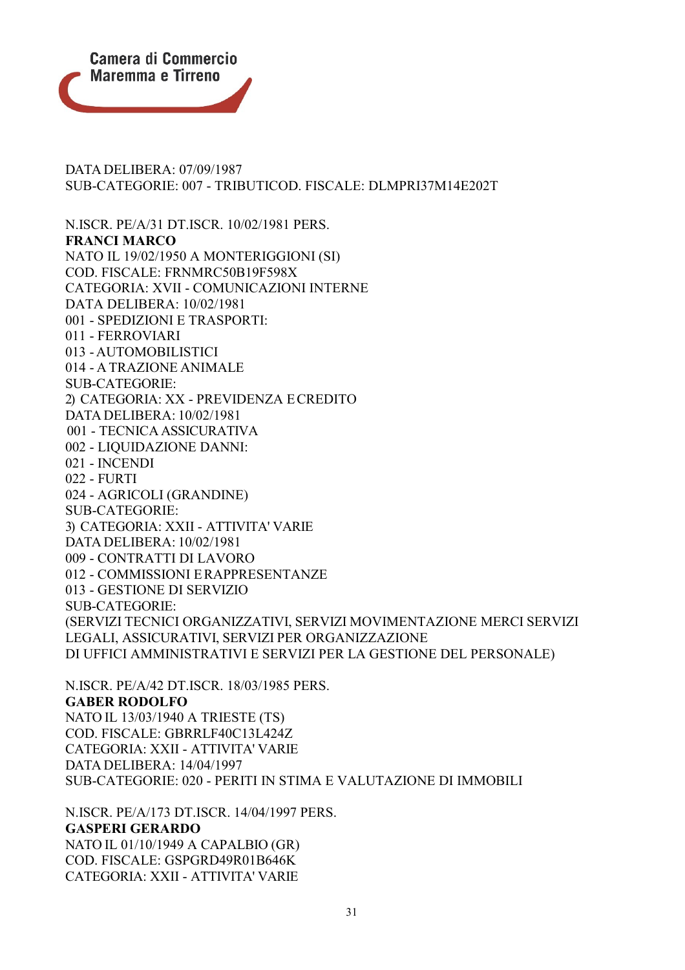

DATA DELIBERA: 07/09/1987 SUB-CATEGORIE: 007 - TRIBUTICOD. FISCALE: DLMPRI37M14E202T

N.ISCR. PE/A/31 DT.ISCR. 10/02/1981 PERS. **FRANCI MARCO** NATO IL 19/02/1950 A MONTERIGGIONI (SI) COD. FISCALE: FRNMRC50B19F598X CATEGORIA: XVII - COMUNICAZIONI INTERNE DATA DELIBERA: 10/02/1981 001 - SPEDIZIONI E TRASPORTI: 011 - FERROVIARI 013 - AUTOMOBILISTICI 014 - A TRAZIONE ANIMALE SUB-CATEGORIE: 2) CATEGORIA: XX - PREVIDENZA ECREDITO DATA DELIBERA: 10/02/1981 001 - TECNICA ASSICURATIVA 002 - LIQUIDAZIONE DANNI: 021 - INCENDI 022 - FURTI 024 - AGRICOLI (GRANDINE) SUB-CATEGORIE: 3) CATEGORIA: XXII - ATTIVITA' VARIE DATA DELIBERA: 10/02/1981 009 - CONTRATTI DI LAVORO 012 - COMMISSIONI ERAPPRESENTANZE 013 - GESTIONE DI SERVIZIO SUB-CATEGORIE: (SERVIZI TECNICI ORGANIZZATIVI, SERVIZI MOVIMENTAZIONE MERCI SERVIZI LEGALI, ASSICURATIVI, SERVIZI PER ORGANIZZAZIONE DI UFFICI AMMINISTRATIVI E SERVIZI PER LA GESTIONE DEL PERSONALE)

N.ISCR. PE/A/42 DT.ISCR. 18/03/1985 PERS. **GABER RODOLFO** NATO IL 13/03/1940 A TRIESTE (TS) COD. FISCALE: GBRRLF40C13L424Z CATEGORIA: XXII - ATTIVITA' VARIE DATA DELIBERA: 14/04/1997 SUB-CATEGORIE: 020 - PERITI IN STIMA E VALUTAZIONE DI IMMOBILI

N.ISCR. PE/A/173 DT.ISCR. 14/04/1997 PERS. **GASPERI GERARDO** NATO IL 01/10/1949 A CAPALBIO (GR) COD. FISCALE: GSPGRD49R01B646K CATEGORIA: XXII - ATTIVITA' VARIE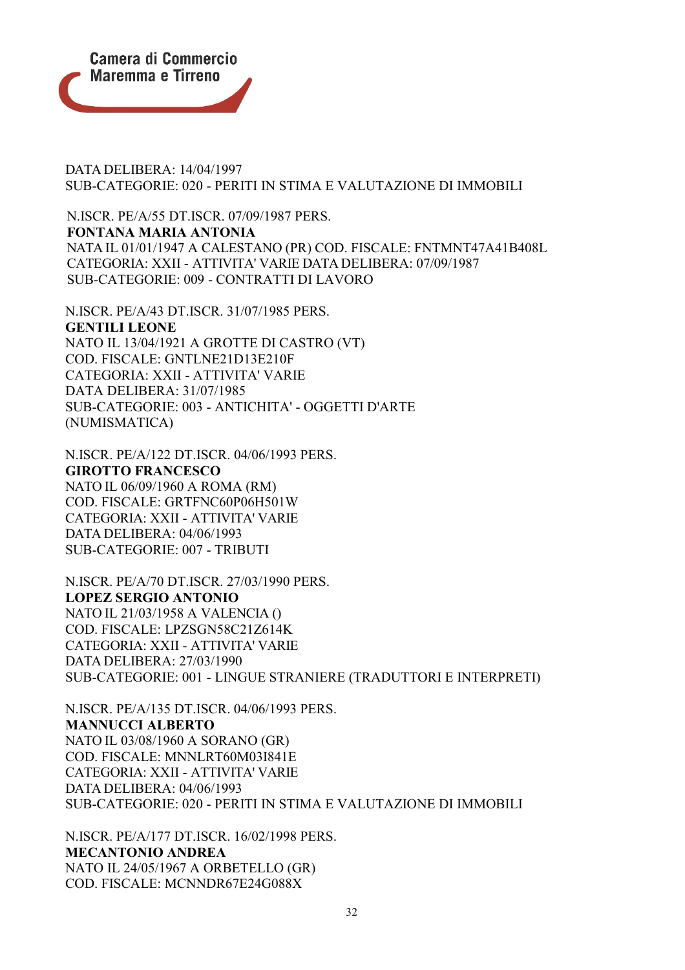

DATA DELIBERA: 14/04/1997 SUB-CATEGORIE: 020 - PERITI IN STIMA E VALUTAZIONE DI IMMOBILI

N.ISCR. PE/A/55 DT.ISCR. 07/09/1987 PERS. **FONTANA MARIA ANTONIA** NATA IL 01/01/1947 A CALESTANO (PR) COD. FISCALE: FNTMNT47A41B408L CATEGORIA: XXII - ATTIVITA' VARIE DATA DELIBERA: 07/09/1987 SUB-CATEGORIE: 009 - CONTRATTI DI LAVORO

N.ISCR. PE/A/43 DT.ISCR. 31/07/1985 PERS. **GENTILI LEONE** NATO IL 13/04/1921 A GROTTE DI CASTRO (VT) COD. FISCALE: GNTLNE21D13E210F CATEGORIA: XXII - ATTIVITA' VARIE DATA DELIBERA: 31/07/1985 SUB-CATEGORIE: 003 - ANTICHITA' - OGGETTI D'ARTE (NUMISMATICA)

N.ISCR. PE/A/122 DT.ISCR. 04/06/1993 PERS. **GIROTTO FRANCESCO** NATO IL 06/09/1960 A ROMA (RM) COD. FISCALE: GRTFNC60P06H501W CATEGORIA: XXII - ATTIVITA' VARIE DATA DELIBERA: 04/06/1993

SUB-CATEGORIE: 007 - TRIBUTI

N.ISCR. PE/A/70 DT.ISCR. 27/03/1990 PERS. **LOPEZ SERGIO ANTONIO** NATO IL 21/03/1958 A VALENCIA () COD. FISCALE: LPZSGN58C21Z614K CATEGORIA: XXII - ATTIVITA' VARIE DATA DELIBERA: 27/03/1990 SUB-CATEGORIE: 001 - LINGUE STRANIERE (TRADUTTORI E INTERPRETI)

N.ISCR. PE/A/135 DT.ISCR. 04/06/1993 PERS. **MANNUCCI ALBERTO** NATO IL 03/08/1960 A SORANO (GR) COD. FISCALE: MNNLRT60M03I841E CATEGORIA: XXII - ATTIVITA' VARIE DATA DELIBERA: 04/06/1993 SUB-CATEGORIE: 020 - PERITI IN STIMA E VALUTAZIONE DI IMMOBILI

N.ISCR. PE/A/177 DT.ISCR. 16/02/1998 PERS. **MECANTONIO ANDREA** NATO IL 24/05/1967 A ORBETELLO (GR) COD. FISCALE: MCNNDR67E24G088X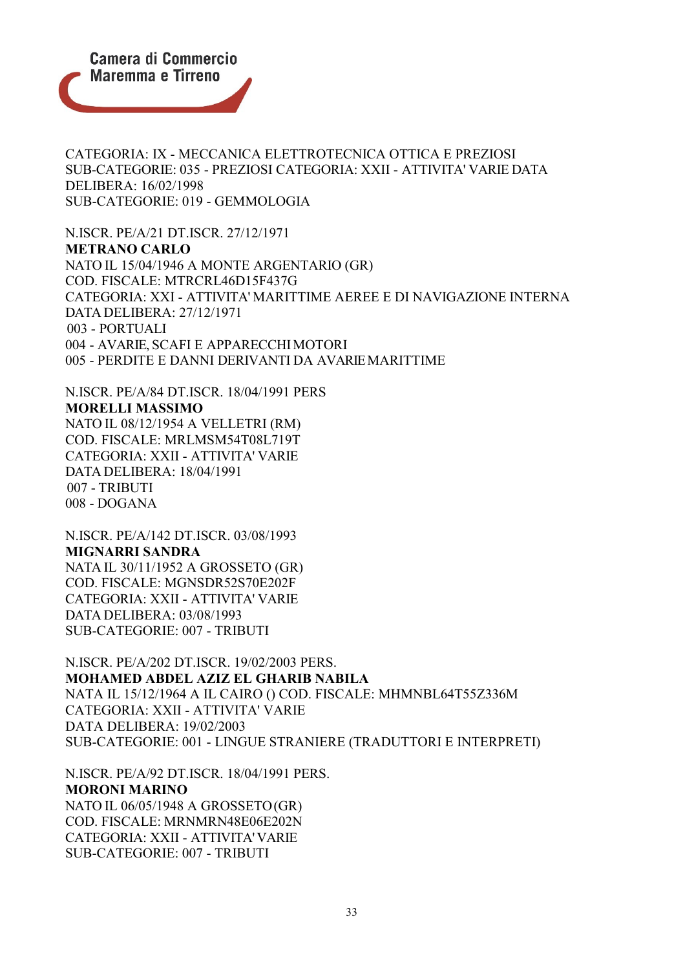

CATEGORIA: IX - MECCANICA ELETTROTECNICA OTTICA E PREZIOSI SUB-CATEGORIE: 035 - PREZIOSI CATEGORIA: XXII - ATTIVITA' VARIE DATA DELIBERA: 16/02/1998 SUB-CATEGORIE: 019 - GEMMOLOGIA

N.ISCR. PE/A/21 DT.ISCR. 27/12/1971 **METRANO CARLO** NATO IL 15/04/1946 A MONTE ARGENTARIO (GR) COD. FISCALE: MTRCRL46D15F437G CATEGORIA: XXI - ATTIVITA' MARITTIME AEREE E DI NAVIGAZIONE INTERNA DATA DELIBERA: 27/12/1971 003 - PORTUALI 004 - AVARIE, SCAFI E APPARECCHIMOTORI 005 - PERDITE E DANNI DERIVANTI DA AVARIEMARITTIME

N.ISCR. PE/A/84 DT.ISCR. 18/04/1991 PERS **MORELLI MASSIMO** NATO IL 08/12/1954 A VELLETRI (RM) COD. FISCALE: MRLMSM54T08L719T CATEGORIA: XXII - ATTIVITA' VARIE DATA DELIBERA: 18/04/1991 007 - TRIBUTI 008 - DOGANA

N.ISCR. PE/A/142 DT.ISCR. 03/08/1993 **MIGNARRI SANDRA** NATA IL 30/11/1952 A GROSSETO (GR) COD. FISCALE: MGNSDR52S70E202F CATEGORIA: XXII - ATTIVITA' VARIE DATA DELIBERA: 03/08/1993 SUB-CATEGORIE: 007 - TRIBUTI

N.ISCR. PE/A/202 DT.ISCR. 19/02/2003 PERS. **MOHAMED ABDEL AZIZ EL GHARIB NABILA** NATA IL 15/12/1964 A IL CAIRO () COD. FISCALE: MHMNBL64T55Z336M CATEGORIA: XXII - ATTIVITA' VARIE DATA DELIBERA: 19/02/2003 SUB-CATEGORIE: 001 - LINGUE STRANIERE (TRADUTTORI E INTERPRETI)

N.ISCR. PE/A/92 DT.ISCR. 18/04/1991 PERS. **MORONI MARINO** NATO IL 06/05/1948 A GROSSETO(GR) COD. FISCALE: MRNMRN48E06E202N CATEGORIA: XXII - ATTIVITA'VARIE SUB-CATEGORIE: 007 - TRIBUTI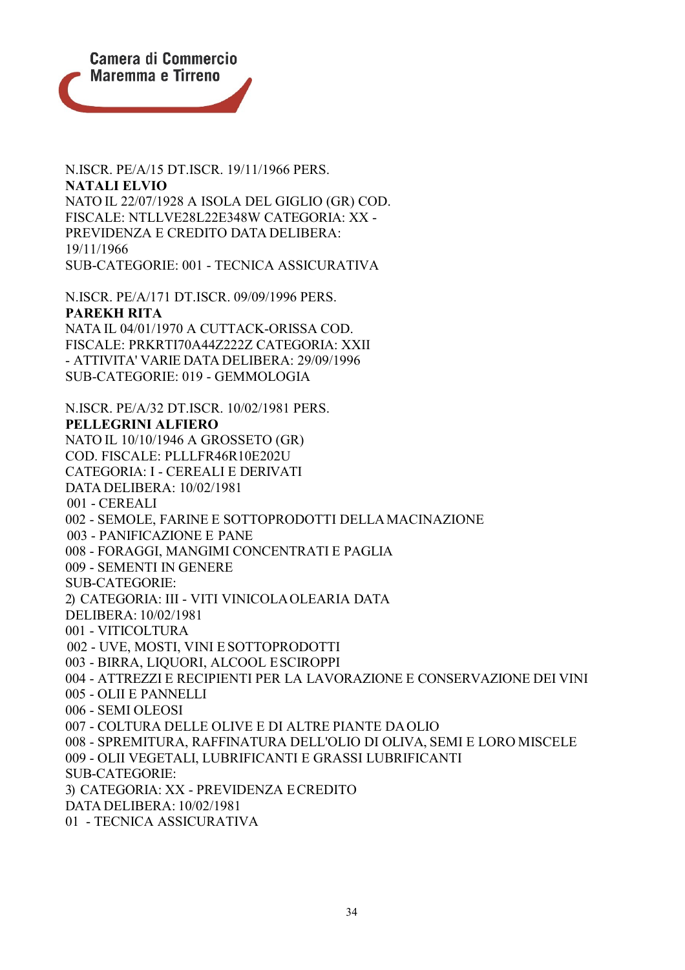

N.ISCR. PE/A/15 DT.ISCR. 19/11/1966 PERS. **NATALI ELVIO** NATO IL 22/07/1928 A ISOLA DEL GIGLIO (GR) COD. FISCALE: NTLLVE28L22E348W CATEGORIA: XX - PREVIDENZA E CREDITO DATA DELIBERA: 19/11/1966 SUB-CATEGORIE: 001 - TECNICA ASSICURATIVA

N.ISCR. PE/A/171 DT.ISCR. 09/09/1996 PERS. **PAREKH RITA** NATA IL 04/01/1970 A CUTTACK-ORISSA COD. FISCALE: PRKRTI70A44Z222Z CATEGORIA: XXII - ATTIVITA' VARIE DATA DELIBERA: 29/09/1996 SUB-CATEGORIE: 019 - GEMMOLOGIA

N.ISCR. PE/A/32 DT.ISCR. 10/02/1981 PERS. **PELLEGRINI ALFIERO** NATO IL 10/10/1946 A GROSSETO (GR) COD. FISCALE: PLLLFR46R10E202U CATEGORIA: I - CEREALI E DERIVATI DATA DELIBERA: 10/02/1981 001 - CEREALI 002 - SEMOLE, FARINE E SOTTOPRODOTTI DELLAMACINAZIONE 003 - PANIFICAZIONE E PANE 008 - FORAGGI, MANGIMI CONCENTRATI E PAGLIA 009 - SEMENTI IN GENERE SUB-CATEGORIE: 2) CATEGORIA: III - VITI VINICOLAOLEARIA DATA DELIBERA: 10/02/1981 001 - VITICOLTURA 002 - UVE, MOSTI, VINI E SOTTOPRODOTTI 003 - BIRRA, LIQUORI, ALCOOL ESCIROPPI 004 - ATTREZZI E RECIPIENTI PER LA LAVORAZIONE E CONSERVAZIONE DEI VINI 005 - OLII E PANNELLI 006 - SEMI OLEOSI 007 - COLTURA DELLE OLIVE E DI ALTRE PIANTE DAOLIO 008 - SPREMITURA, RAFFINATURA DELL'OLIO DI OLIVA, SEMI E LORO MISCELE 009 - OLII VEGETALI, LUBRIFICANTI E GRASSI LUBRIFICANTI SUB-CATEGORIE: 3) CATEGORIA: XX - PREVIDENZA ECREDITO DATA DELIBERA: 10/02/1981 01 - TECNICA ASSICURATIVA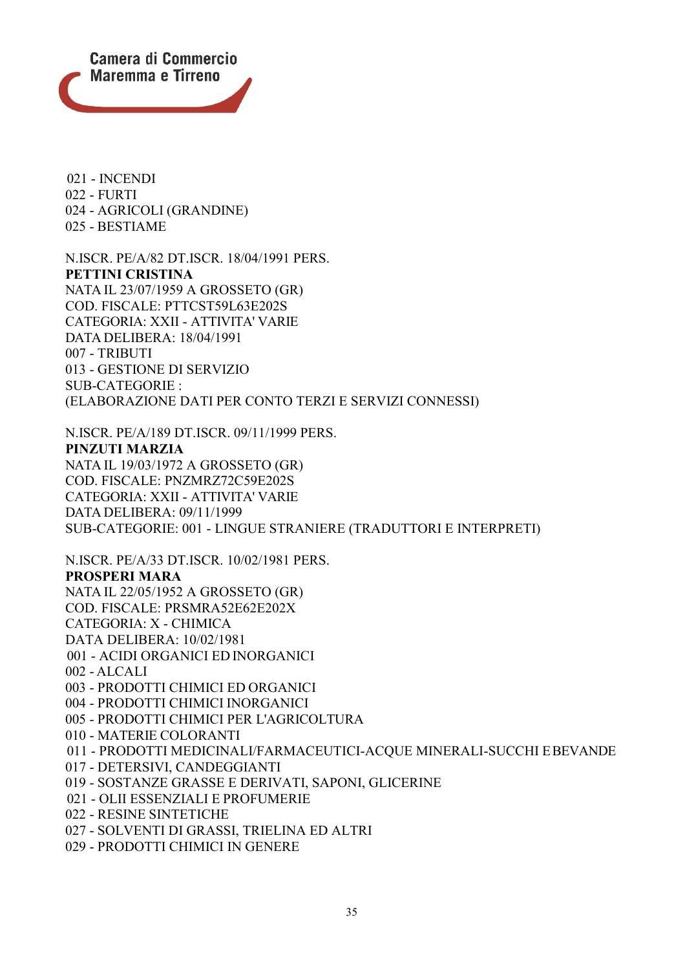

021 - INCENDI 022 - FURTI 024 - AGRICOLI (GRANDINE) 025 - BESTIAME

N.ISCR. PE/A/82 DT.ISCR. 18/04/1991 PERS. **PETTINI CRISTINA** NATA IL 23/07/1959 A GROSSETO (GR) COD. FISCALE: PTTCST59L63E202S CATEGORIA: XXII - ATTIVITA' VARIE DATA DELIBERA: 18/04/1991 007 - TRIBUTI 013 - GESTIONE DI SERVIZIO SUB-CATEGORIE : (ELABORAZIONE DATI PER CONTO TERZI E SERVIZI CONNESSI)

N.ISCR. PE/A/189 DT.ISCR. 09/11/1999 PERS. **PINZUTI MARZIA** NATA IL 19/03/1972 A GROSSETO (GR) COD. FISCALE: PNZMRZ72C59E202S CATEGORIA: XXII - ATTIVITA' VARIE DATA DELIBERA: 09/11/1999 SUB-CATEGORIE: 001 - LINGUE STRANIERE (TRADUTTORI E INTERPRETI)

N.ISCR. PE/A/33 DT.ISCR. 10/02/1981 PERS. **PROSPERI MARA** NATA IL 22/05/1952 A GROSSETO (GR) COD. FISCALE: PRSMRA52E62E202X CATEGORIA: X - CHIMICA

DATA DELIBERA: 10/02/1981

001 - ACIDI ORGANICI ED INORGANICI

002 - ALCALI

003 - PRODOTTI CHIMICI ED ORGANICI

004 - PRODOTTI CHIMICI INORGANICI

005 - PRODOTTI CHIMICI PER L'AGRICOLTURA

010 - MATERIE COLORANTI

011 - PRODOTTI MEDICINALI/FARMACEUTICI-ACQUE MINERALI-SUCCHI EBEVANDE

017 - DETERSIVI, CANDEGGIANTI

019 - SOSTANZE GRASSE E DERIVATI, SAPONI, GLICERINE

021 - OLII ESSENZIALI E PROFUMERIE

022 - RESINE SINTETICHE

027 - SOLVENTI DI GRASSI, TRIELINA ED ALTRI

029 - PRODOTTI CHIMICI IN GENERE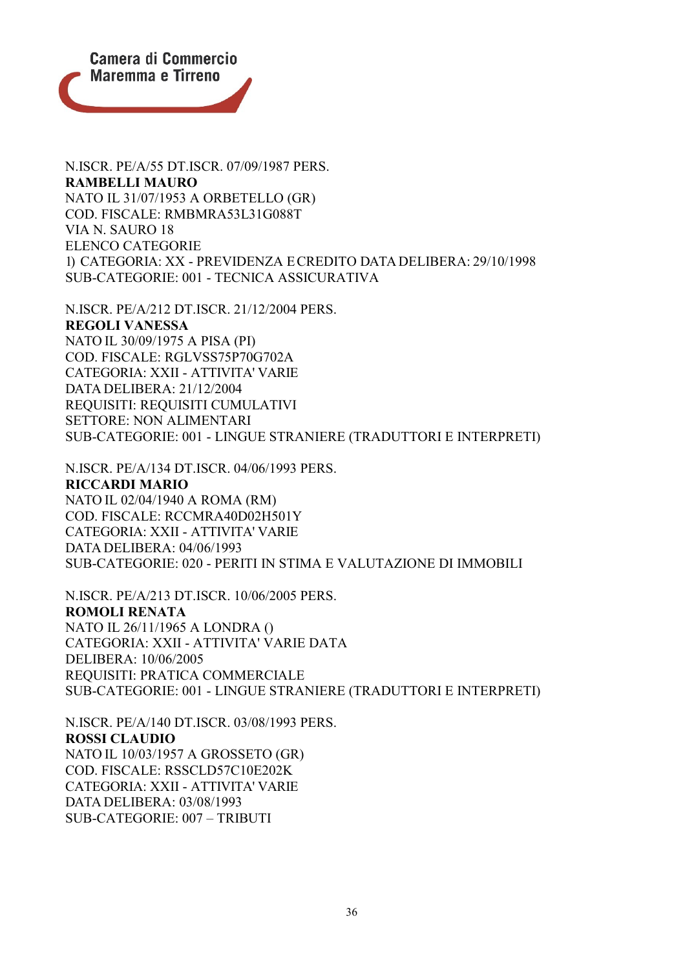

N.ISCR. PE/A/181 DT.ISCR. 29/10/1988 PERS. **RAMBELLI MAURO** NATO IL 31/07/1953 A ORBETELLO (GR) COD. FISCALE: RMBMRA53L31G088T VIA N. SAURO 18 ELENCO CATEGORIE 1) CATEGORIA: XX - PREVIDENZA ECREDITO DATA DELIBERA: 29/10/1998 SUB-CATEGORIE: 001 - TECNICA ASSICURATIVA

N.ISCR. PE/A/212 DT.ISCR. 21/12/2004 PERS. **REGOLI VANESSA** NATO IL 30/09/1975 A PISA (PI) COD. FISCALE: RGLVSS75P70G702A CATEGORIA: XXII - ATTIVITA' VARIE DATA DELIBERA: 21/12/2004 REQUISITI: REQUISITI CUMULATIVI SETTORE: NON ALIMENTARI SUB-CATEGORIE: 001 - LINGUE STRANIERE (TRADUTTORI E INTERPRETI)

N.ISCR. PE/A/134 DT.ISCR. 04/06/1993 PERS. **RICCARDI MARIO** NATO IL 02/04/1940 A ROMA (RM) COD. FISCALE: RCCMRA40D02H501Y CATEGORIA: XXII - ATTIVITA' VARIE DATA DELIBERA: 04/06/1993 SUB-CATEGORIE: 020 - PERITI IN STIMA E VALUTAZIONE DI IMMOBILI

N.ISCR. PE/A/213 DT.ISCR. 10/06/2005 PERS. **ROMOLI RENATA** NATO IL 26/11/1965 A LONDRA () CATEGORIA: XXII - ATTIVITA' VARIE DATA DELIBERA: 10/06/2005 REQUISITI: PRATICA COMMERCIALE SUB-CATEGORIE: 001 - LINGUE STRANIERE (TRADUTTORI E INTERPRETI)

N.ISCR. PE/A/140 DT.ISCR. 03/08/1993 PERS. **ROSSI CLAUDIO** NATO IL 10/03/1957 A GROSSETO (GR) COD. FISCALE: RSSCLD57C10E202K CATEGORIA: XXII - ATTIVITA' VARIE DATA DELIBERA: 03/08/1993 SUB-CATEGORIE: 007 – TRIBUTI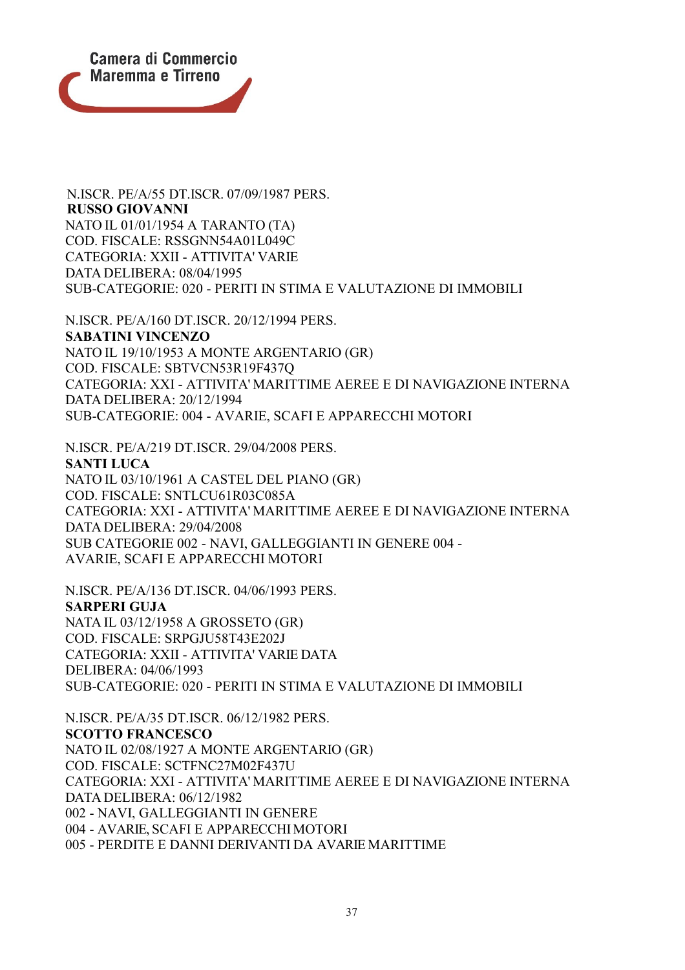

N.ISCR. PE/A/164 DT.ISCR. 08/04/1995 PERS. **RUSSO GIOVANNI** NATO IL 01/01/1954 A TARANTO (TA) COD. FISCALE: RSSGNN54A01L049C CATEGORIA: XXII - ATTIVITA' VARIE DATA DELIBERA: 08/04/1995 SUB-CATEGORIE: 020 - PERITI IN STIMA E VALUTAZIONE DI IMMOBILI

N.ISCR. PE/A/160 DT.ISCR. 20/12/1994 PERS. **SABATINI VINCENZO** NATO IL 19/10/1953 A MONTE ARGENTARIO (GR) COD. FISCALE: SBTVCN53R19F437Q CATEGORIA: XXI - ATTIVITA' MARITTIME AEREE E DI NAVIGAZIONE INTERNA DATA DELIBERA: 20/12/1994 SUB-CATEGORIE: 004 - AVARIE, SCAFI E APPARECCHI MOTORI

N.ISCR. PE/A/219 DT.ISCR. 29/04/2008 PERS. **SANTI LUCA** NATO IL 03/10/1961 A CASTEL DEL PIANO (GR) COD. FISCALE: SNTLCU61R03C085A CATEGORIA: XXI - ATTIVITA' MARITTIME AEREE E DI NAVIGAZIONE INTERNA DATA DELIBERA: 29/04/2008 SUB CATEGORIE 002 - NAVI, GALLEGGIANTI IN GENERE 004 - AVARIE, SCAFI E APPARECCHI MOTORI

N.ISCR. PE/A/136 DT.ISCR. 04/06/1993 PERS. **SARPERI GUJA** NATA IL 03/12/1958 A GROSSETO (GR) COD. FISCALE: SRPGJU58T43E202J CATEGORIA: XXII - ATTIVITA' VARIE DATA DELIBERA: 04/06/1993 SUB-CATEGORIE: 020 - PERITI IN STIMA E VALUTAZIONE DI IMMOBILI

N.ISCR. PE/A/35 DT.ISCR. 06/12/1982 PERS. **SCOTTO FRANCESCO** NATO IL 02/08/1927 A MONTE ARGENTARIO (GR) COD. FISCALE: SCTFNC27M02F437U CATEGORIA: XXI - ATTIVITA' MARITTIME AEREE E DI NAVIGAZIONE INTERNA DATA DELIBERA: 06/12/1982 002 - NAVI, GALLEGGIANTI IN GENERE 004 - AVARIE, SCAFI E APPARECCHIMOTORI 005 - PERDITE E DANNI DERIVANTI DA AVARIE MARITTIME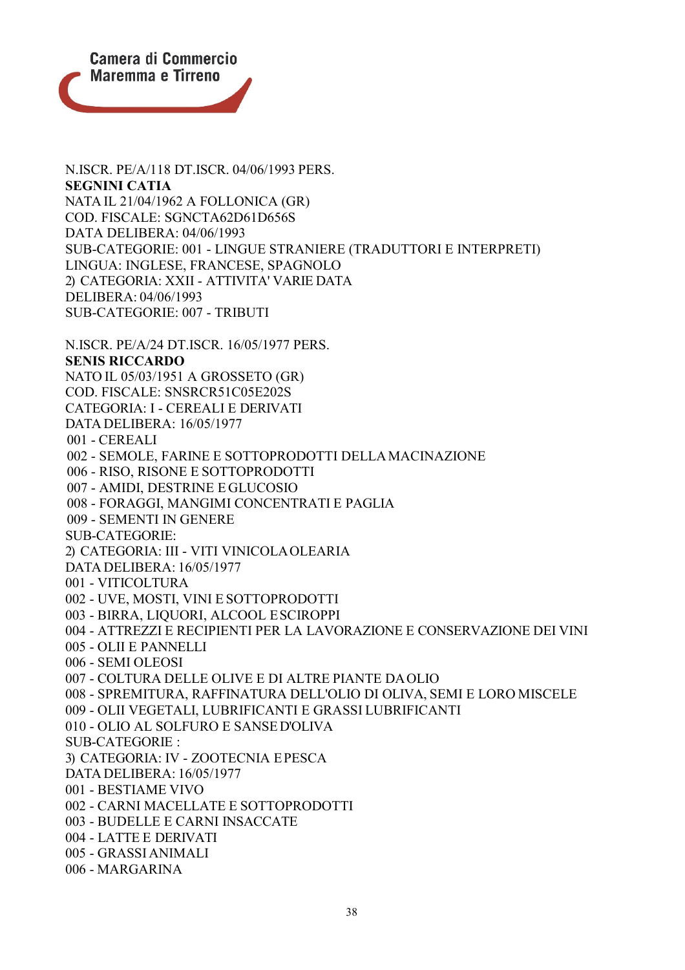

N.ISCR. PE/A/118 DT.ISCR. 04/06/1993 PERS. **SEGNINI CATIA** NATA IL 21/04/1962 A FOLLONICA (GR) COD. FISCALE: SGNCTA62D61D656S DATA DELIBERA: 04/06/1993 SUB-CATEGORIE: 001 - LINGUE STRANIERE (TRADUTTORI E INTERPRETI) LINGUA: INGLESE, FRANCESE, SPAGNOLO 2) CATEGORIA: XXII - ATTIVITA' VARIE DATA DELIBERA: 04/06/1993 SUB-CATEGORIE: 007 - TRIBUTI N.ISCR. PE/A/24 DT.ISCR. 16/05/1977 PERS. **SENIS RICCARDO** NATO IL 05/03/1951 A GROSSETO (GR) COD. FISCALE: SNSRCR51C05E202S CATEGORIA: I - CEREALI E DERIVATI DATA DELIBERA: 16/05/1977 001 - CEREALI 002 - SEMOLE, FARINE E SOTTOPRODOTTI DELLAMACINAZIONE 006 - RISO, RISONE E SOTTOPRODOTTI 007 - AMIDI, DESTRINE E GLUCOSIO 008 - FORAGGI, MANGIMI CONCENTRATI E PAGLIA 009 - SEMENTI IN GENERE SUB-CATEGORIE: 2) CATEGORIA: III - VITI VINICOLAOLEARIA DATA DELIBERA: 16/05/1977 001 - VITICOLTURA 002 - UVE, MOSTI, VINI E SOTTOPRODOTTI 003 - BIRRA, LIQUORI, ALCOOL ESCIROPPI 004 - ATTREZZI E RECIPIENTI PER LA LAVORAZIONE E CONSERVAZIONE DEI VINI 005 - OLII E PANNELLI 006 - SEMI OLEOSI 007 - COLTURA DELLE OLIVE E DI ALTRE PIANTE DAOLIO 008 - SPREMITURA, RAFFINATURA DELL'OLIO DI OLIVA, SEMI E LORO MISCELE 009 - OLII VEGETALI, LUBRIFICANTI E GRASSI LUBRIFICANTI 010 - OLIO AL SOLFURO E SANSED'OLIVA SUB-CATEGORIE : 3) CATEGORIA: IV - ZOOTECNIA EPESCA DATA DELIBERA: 16/05/1977 001 - BESTIAME VIVO 002 - CARNI MACELLATE E SOTTOPRODOTTI 003 - BUDELLE E CARNI INSACCATE 004 - LATTE E DERIVATI 005 - GRASSI ANIMALI 006 - MARGARINA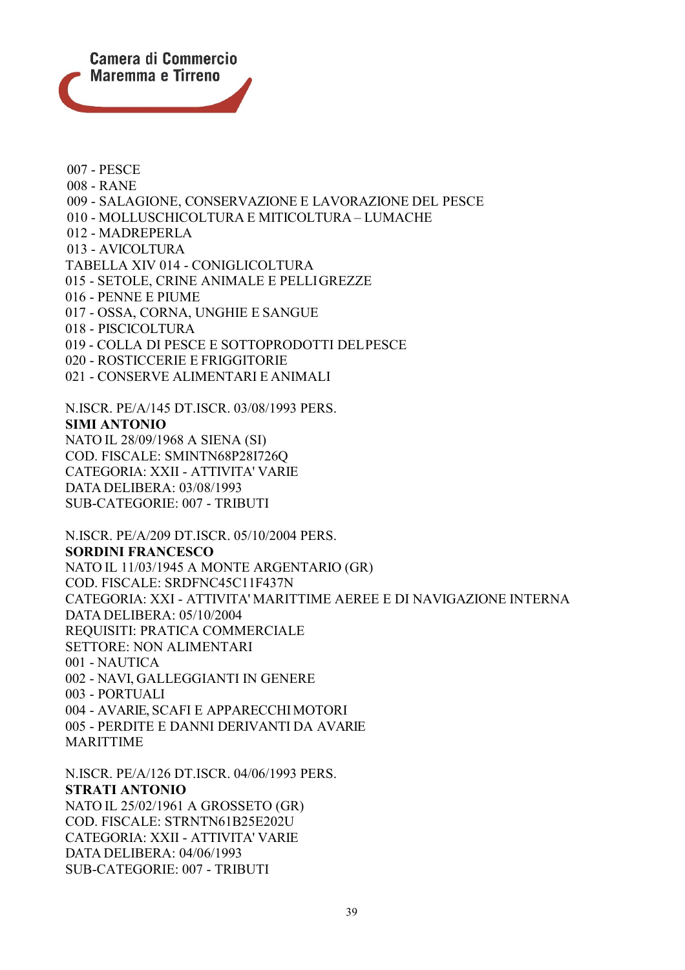

007 - PESCE 008 - RANE 009 - SALAGIONE, CONSERVAZIONE E LAVORAZIONE DEL PESCE 010 - MOLLUSCHICOLTURA E MITICOLTURA – LUMACHE 012 - MADREPERLA 013 - AVICOLTURA TABELLA XIV 014 - CONIGLICOLTURA 015 - SETOLE, CRINE ANIMALE E PELLIGREZZE 016 - PENNE E PIUME 017 - OSSA, CORNA, UNGHIE E SANGUE 018 - PISCICOLTURA 019 - COLLA DI PESCE E SOTTOPRODOTTI DELPESCE 020 - ROSTICCERIE E FRIGGITORIE 021 - CONSERVE ALIMENTARI E ANIMALI N.ISCR. PE/A/145 DT.ISCR. 03/08/1993 PERS. **SIMI ANTONIO** NATO IL 28/09/1968 A SIENA (SI) COD. FISCALE: SMINTN68P28I726Q

CATEGORIA: XXII - ATTIVITA' VARIE DATA DELIBERA: 03/08/1993 SUB-CATEGORIE: 007 - TRIBUTI

N.ISCR. PE/A/209 DT.ISCR. 05/10/2004 PERS. **SORDINI FRANCESCO** NATO IL 11/03/1945 A MONTE ARGENTARIO (GR) COD. FISCALE: SRDFNC45C11F437N CATEGORIA: XXI - ATTIVITA' MARITTIME AEREE E DI NAVIGAZIONE INTERNA DATA DELIBERA: 05/10/2004 REQUISITI: PRATICA COMMERCIALE SETTORE: NON ALIMENTARI 001 - NAUTICA 002 - NAVI, GALLEGGIANTI IN GENERE 003 - PORTUALI 004 - AVARIE, SCAFI E APPARECCHIMOTORI 005 - PERDITE E DANNI DERIVANTI DA AVARIE MARITTIME

N.ISCR. PE/A/126 DT.ISCR. 04/06/1993 PERS. **STRATI ANTONIO** NATO IL 25/02/1961 A GROSSETO (GR) COD. FISCALE: STRNTN61B25E202U CATEGORIA: XXII - ATTIVITA' VARIE DATA DELIBERA: 04/06/1993 SUB-CATEGORIE: 007 - TRIBUTI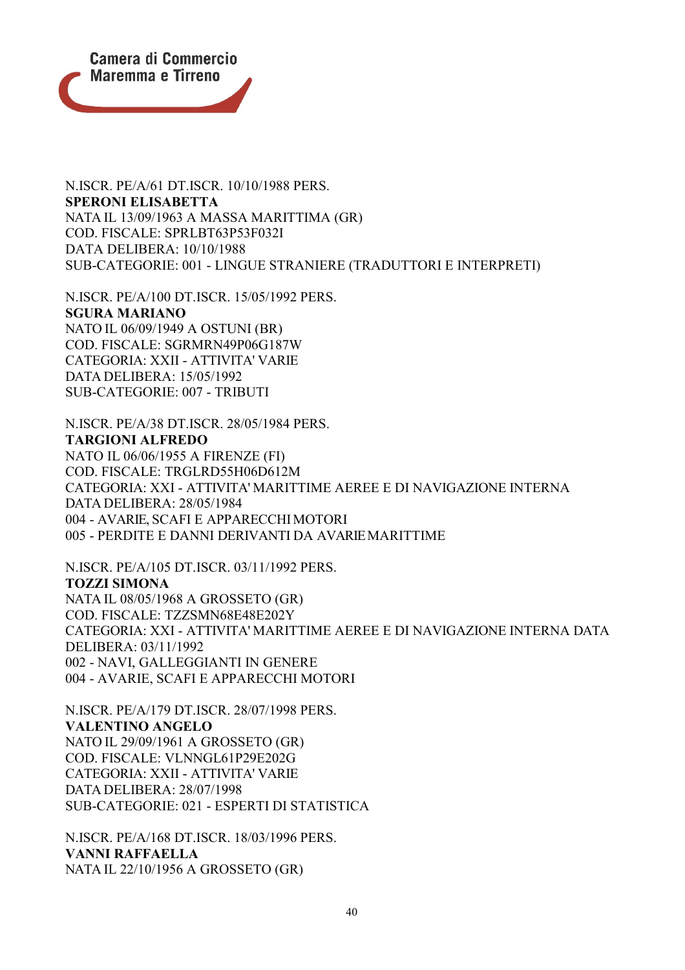

N.ISCR. PE/A/61 DT.ISCR. 10/10/1988 PERS. **SPERONI ELISABETTA** NATA IL 13/09/1963 A MASSA MARITTIMA (GR) COD. FISCALE: SPRLBT63P53F032I DATA DELIBERA: 10/10/1988 SUB-CATEGORIE: 001 - LINGUE STRANIERE (TRADUTTORI E INTERPRETI)

N.ISCR. PE/A/100 DT.ISCR. 15/05/1992 PERS. **SGURA MARIANO** NATO IL 06/09/1949 A OSTUNI (BR) COD. FISCALE: SGRMRN49P06G187W CATEGORIA: XXII - ATTIVITA' VARIE DATA DELIBERA: 15/05/1992 SUB-CATEGORIE: 007 - TRIBUTI

N.ISCR. PE/A/38 DT.ISCR. 28/05/1984 PERS. **TARGIONI ALFREDO** NATO IL 06/06/1955 A FIRENZE (FI) COD. FISCALE: TRGLRD55H06D612M CATEGORIA: XXI - ATTIVITA' MARITTIME AEREE E DI NAVIGAZIONE INTERNA DATA DELIBERA: 28/05/1984 004 - AVARIE, SCAFI E APPARECCHIMOTORI 005 - PERDITE E DANNI DERIVANTI DA AVARIEMARITTIME

N.ISCR. PE/A/105 DT.ISCR. 03/11/1992 PERS. **TOZZI SIMONA** NATA IL 08/05/1968 A GROSSETO (GR) COD. FISCALE: TZZSMN68E48E202Y CATEGORIA: XXI - ATTIVITA' MARITTIME AEREE E DI NAVIGAZIONE INTERNA DATA DELIBERA: 03/11/1992 002 - NAVI, GALLEGGIANTI IN GENERE 004 - AVARIE, SCAFI E APPARECCHI MOTORI

N.ISCR. PE/A/179 DT.ISCR. 28/07/1998 PERS. **VALENTINO ANGELO** NATO IL 29/09/1961 A GROSSETO (GR) COD. FISCALE: VLNNGL61P29E202G CATEGORIA: XXII - ATTIVITA' VARIE DATA DELIBERA: 28/07/1998 SUB-CATEGORIE: 021 - ESPERTI DI STATISTICA

N.ISCR. PE/A/168 DT.ISCR. 18/03/1996 PERS. **VANNI RAFFAELLA** NATA IL 22/10/1956 A GROSSETO (GR)